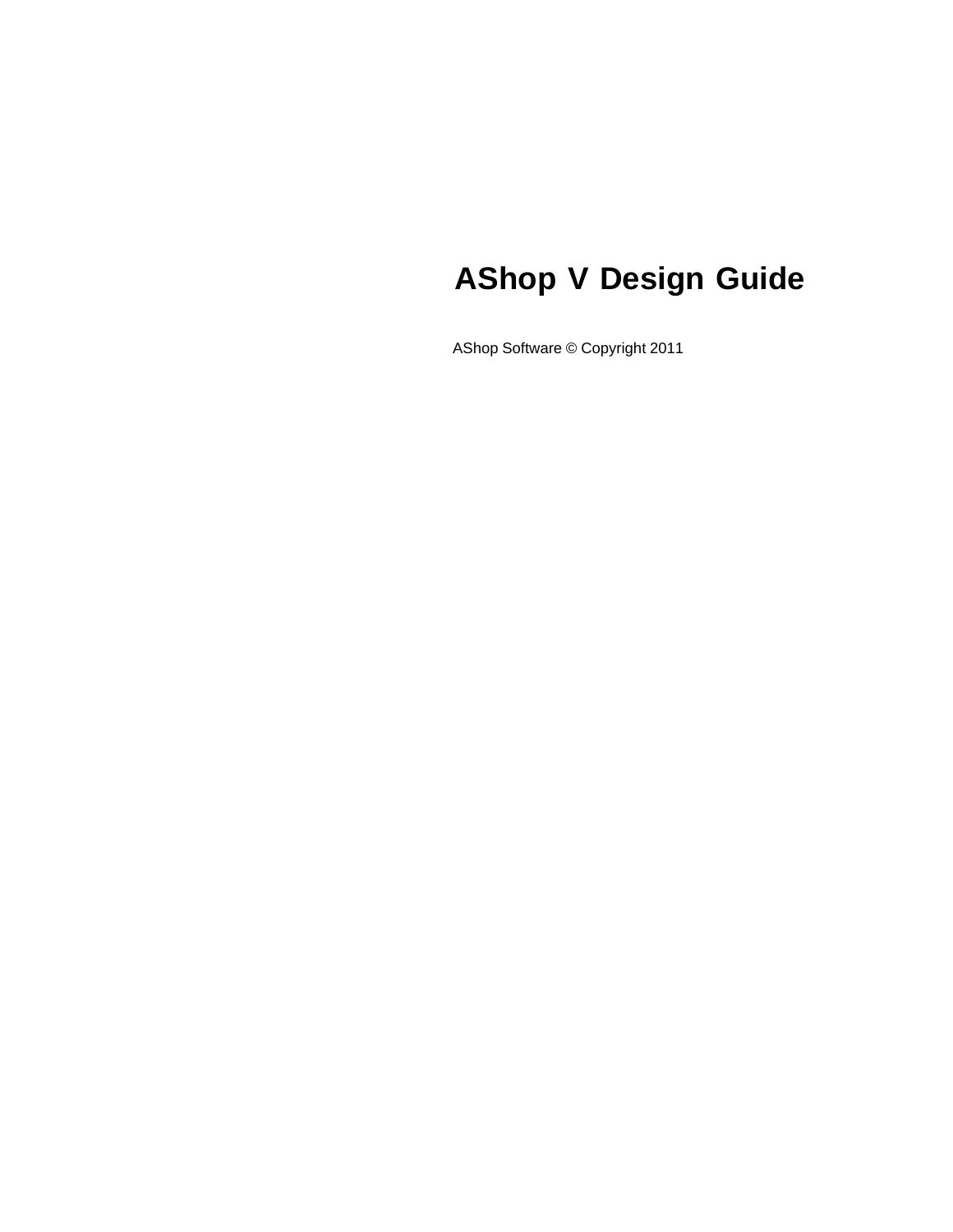## **AShop V Design Guide**

AShop Software © Copyright 2011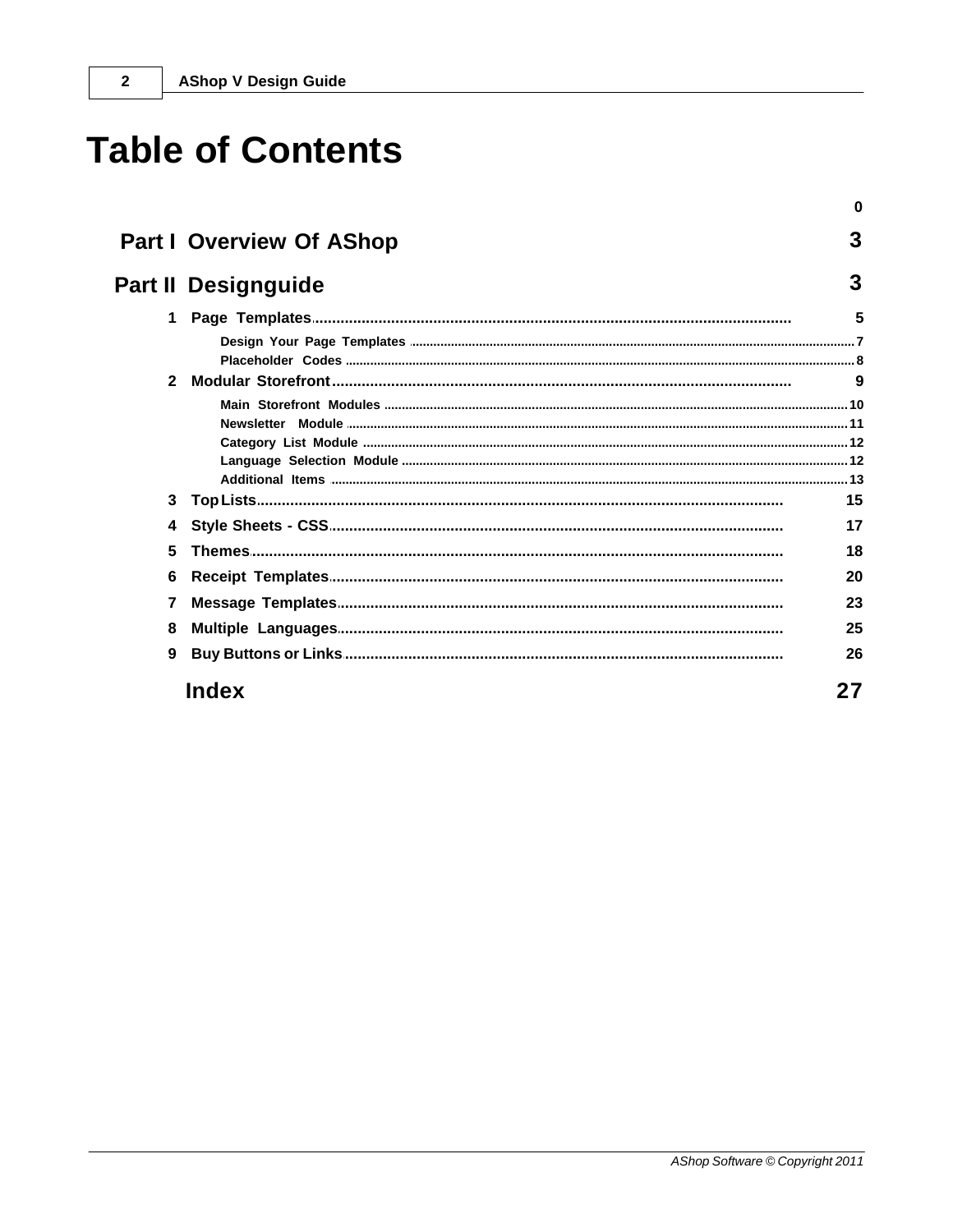## **Table of Contents**

|              |                                 | 0  |
|--------------|---------------------------------|----|
|              | <b>Part I Overview Of AShop</b> | 3  |
|              | <b>Part II Designguide</b>      | 3  |
| $\mathbf 1$  |                                 | 5  |
|              |                                 |    |
| $\mathbf{2}$ |                                 |    |
|              |                                 |    |
|              |                                 |    |
| 3            |                                 | 15 |
| 4            |                                 | 17 |
| 5            |                                 | 18 |
| 6            |                                 | 20 |
| 7            |                                 | 23 |
| 8            |                                 | 25 |
| 9            |                                 | 26 |
|              | <b>Index</b>                    | 27 |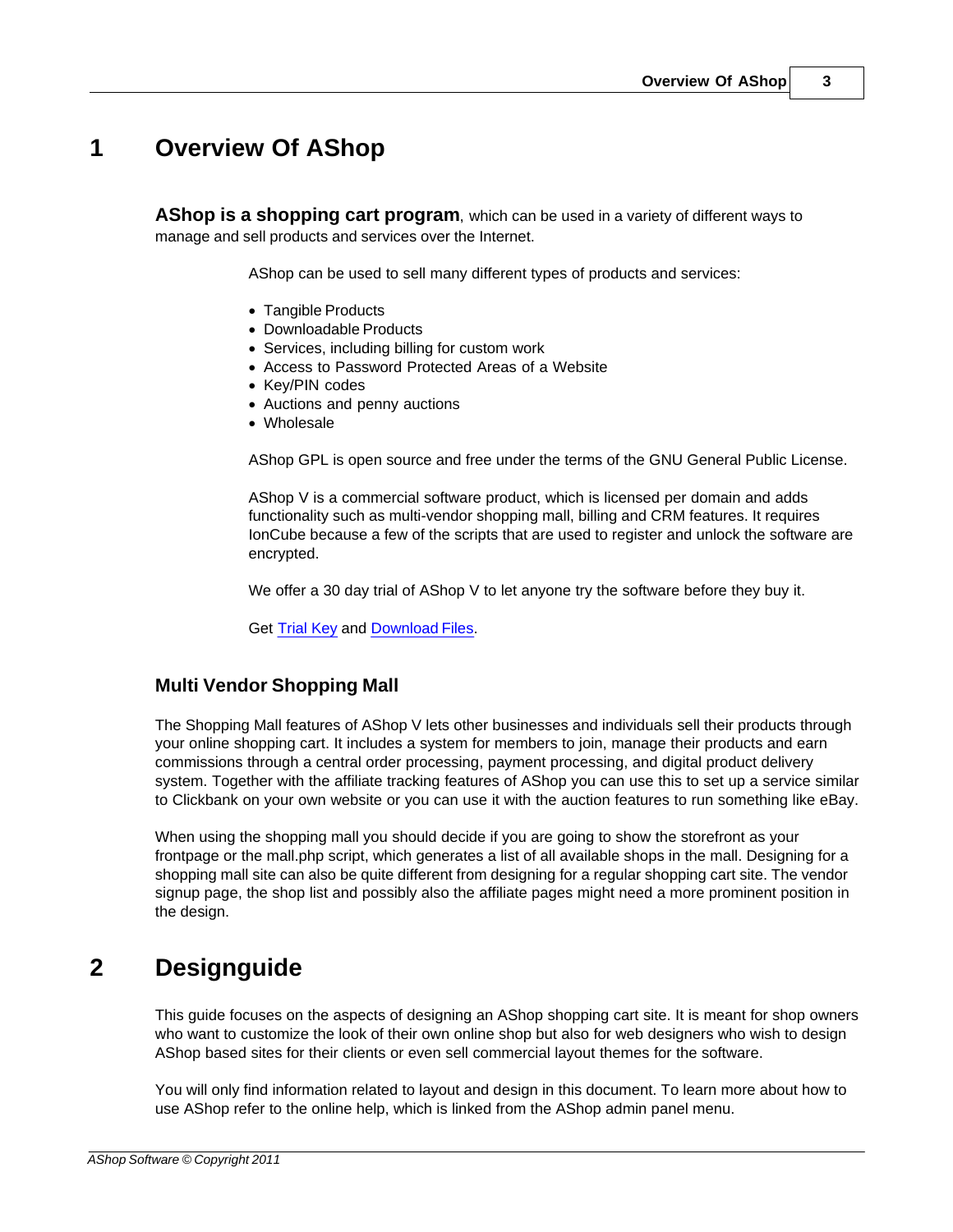### <span id="page-2-0"></span>**1 Overview Of AShop**

**AShop is a shopping cart program**, which can be used in a variety of different ways to manage and sell products and services over the Internet.

AShop can be used to sell many different types of products and services:

- · Tangible Products
- · Downloadable Products
- · Services, including billing for custom work
- · Access to Password Protected Areas of a Website
- · Key/PIN codes
- · Auctions and penny auctions
- · Wholesale

AShop GPL is open source and free under the terms of the GNU General Public License.

AShop V is a commercial software product, which is licensed per domain and adds functionality such as multi-vendor shopping mall, billing and CRM features. It requires IonCube because a few of the scripts that are used to register and unlock the software are encrypted.

We offer a 30 day trial of AShop V to let anyone try the software before they buy it.

Get [Trial Key](http://www.ashopsoftware.com/dlcounter/trialform.html) and [Download Files.](http://www.ashopsoftware.com/dlcounter/downloads.php)

#### **Multi Vendor Shopping Mall**

The Shopping Mall features of AShop V lets other businesses and individuals sell their products through your online shopping cart. It includes a system for members to join, manage their products and earn commissions through a central order processing, payment processing, and digital product delivery system. Together with the affiliate tracking features of AShop you can use this to set up a service similar to Clickbank on your own website or you can use it with the auction features to run something like eBay.

When using the shopping mall you should decide if you are going to show the storefront as your frontpage or the mall.php script, which generates a list of all available shops in the mall. Designing for a shopping mall site can also be quite different from designing for a regular shopping cart site. The vendor signup page, the shop list and possibly also the affiliate pages might need a more prominent position in the design.

### <span id="page-2-1"></span>**2 Designguide**

This guide focuses on the aspects of designing an AShop shopping cart site. It is meant for shop owners who want to customize the look of their own online shop but also for web designers who wish to design AShop based sites for their clients or even sell commercial layout themes for the software.

You will only find information related to layout and design in this document. To learn more about how to use AShop refer to the online help, which is linked from the AShop admin panel menu.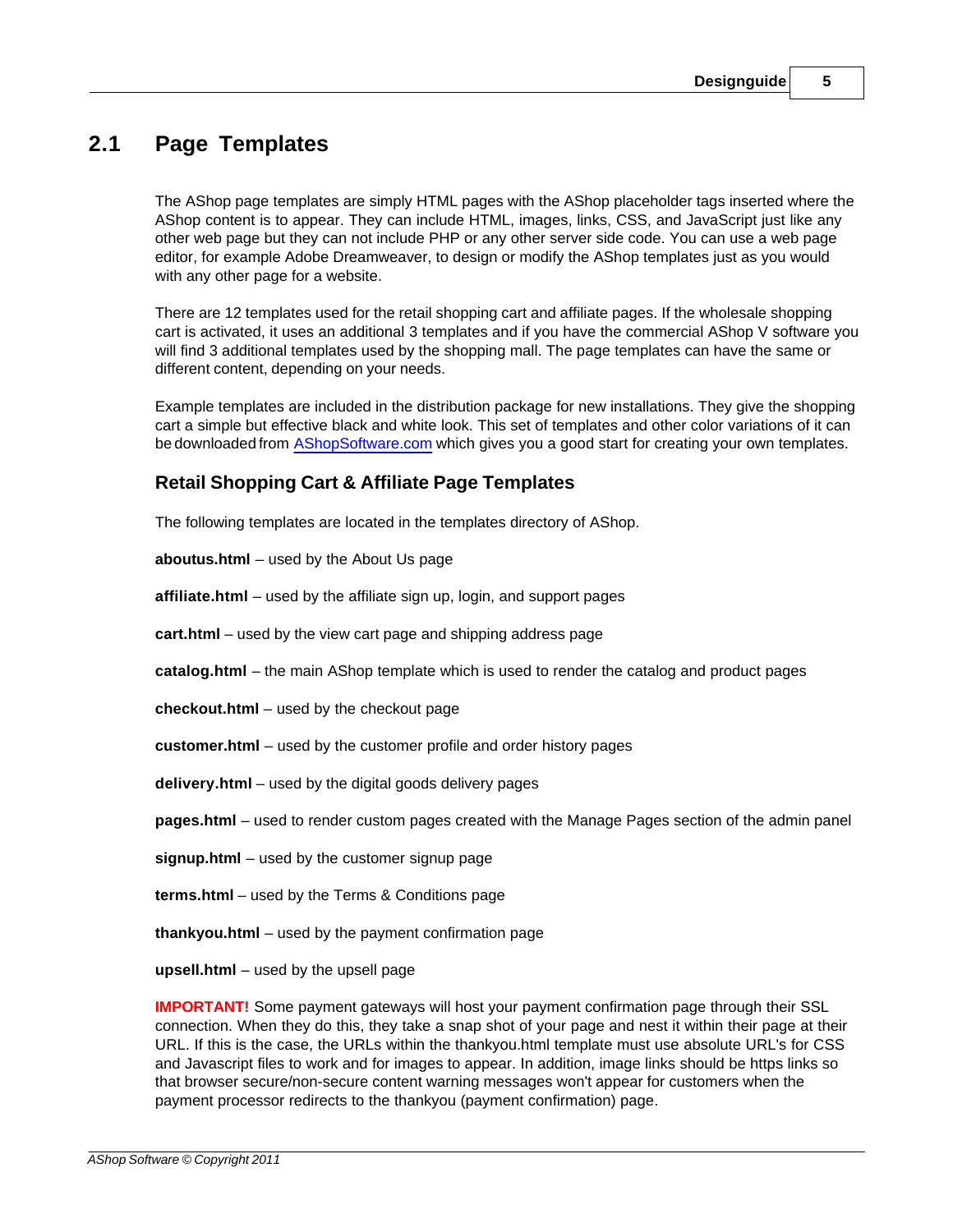### <span id="page-4-0"></span>**2.1 Page Templates**

The AShop page templates are simply HTML pages with the AShop placeholder tags inserted where the AShop content is to appear. They can include HTML, images, links, CSS, and JavaScript just like any other web page but they can not include PHP or any other server side code. You can use a web page editor, for example Adobe Dreamweaver, to design or modify the AShop templates just as you would with any other page for a website.

There are 12 templates used for the retail shopping cart and affiliate pages. If the wholesale shopping cart is activated, it uses an additional 3 templates and if you have the commercial AShop V software you will find 3 additional templates used by the shopping mall. The page templates can have the same or different content, depending on your needs.

Example templates are included in the distribution package for new installations. They give the shopping cart a simple but effective black and white look. This set of templates and other color variations of it can be downloaded from [AShopSoftware.com](http://www.ashopsoftware.com/dlcounter) which gives you a good start for creating your own templates.

#### **Retail Shopping Cart & Affiliate Page Templates**

The following templates are located in the templates directory of AShop.

**aboutus.html** – used by the About Us page

**affiliate.html** – used by the affiliate sign up, login, and support pages

**cart.html** – used by the view cart page and shipping address page

**catalog.html** – the main AShop template which is used to render the catalog and product pages

**checkout.html** – used by the checkout page

**customer.html** – used by the customer profile and order history pages

**delivery.html** – used by the digital goods delivery pages

**pages.html** – used to render custom pages created with the Manage Pages section of the admin panel

**signup.html** – used by the customer signup page

**terms.html** – used by the Terms & Conditions page

**thankyou.html** – used by the payment confirmation page

**upsell.html** – used by the upsell page

**IMPORTANT!** Some payment gateways will host your payment confirmation page through their SSL connection. When they do this, they take a snap shot of your page and nest it within their page at their URL. If this is the case, the URLs within the thankyou.html template must use absolute URL's for CSS and Javascript files to work and for images to appear. In addition, image links should be https links so that browser secure/non-secure content warning messages won't appear for customers when the payment processor redirects to the thankyou (payment confirmation) page.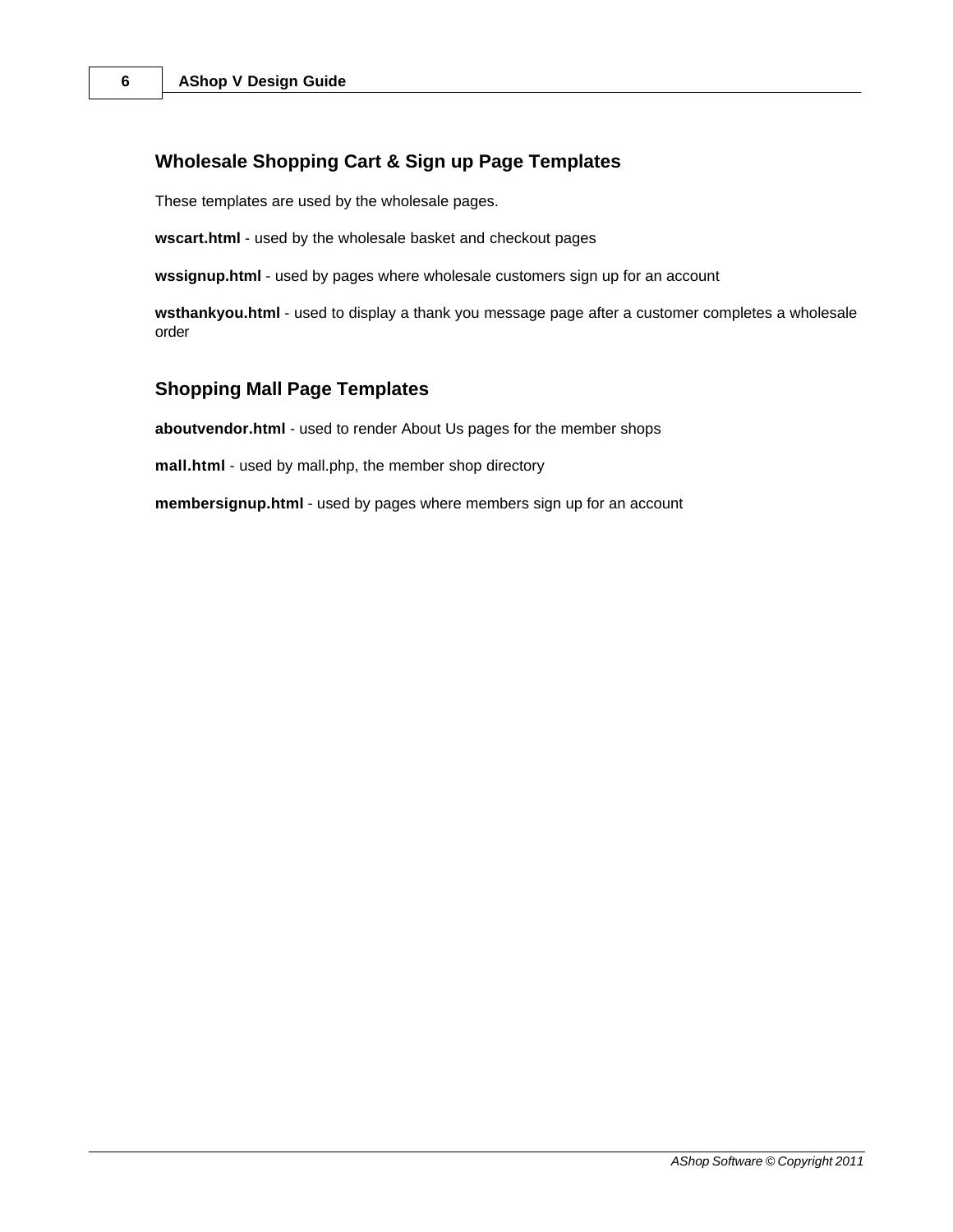#### **Wholesale Shopping Cart & Sign up Page Templates**

These templates are used by the wholesale pages.

**wscart.html** - used by the wholesale basket and checkout pages

**wssignup.html** - used by pages where wholesale customers sign up for an account

**wsthankyou.html** - used to display a thank you message page after a customer completes a wholesale order

#### **Shopping Mall Page Templates**

**aboutvendor.html** - used to render About Us pages for the member shops

**mall.html** - used by mall.php, the member shop directory

**membersignup.html** - used by pages where members sign up for an account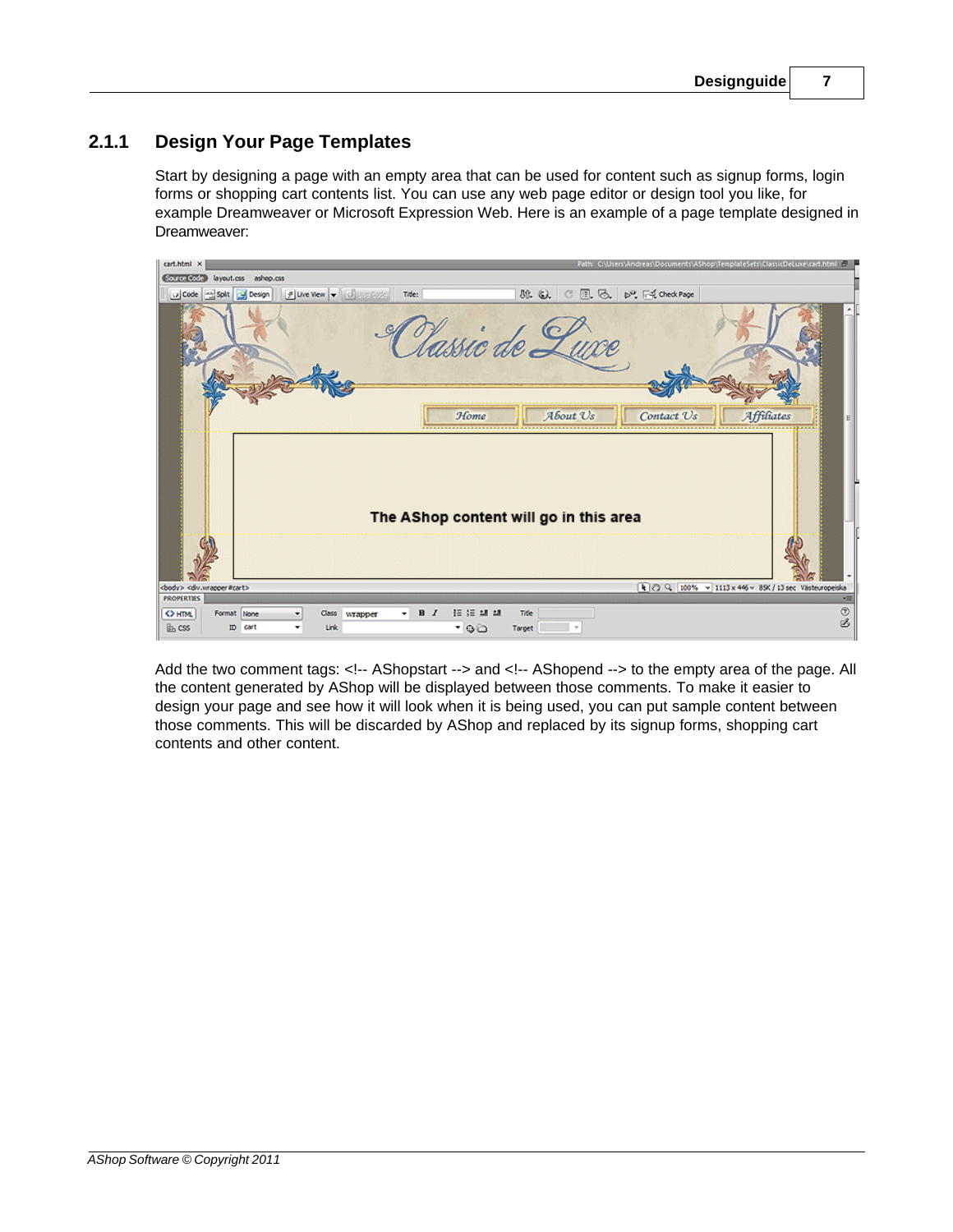### <span id="page-6-0"></span>**2.1.1 Design Your Page Templates**

Start by designing a page with an empty area that can be used for content such as signup forms, login forms or shopping cart contents list. You can use any web page editor or design tool you like, for example Dreamweaver or Microsoft Expression Web. Here is an example of a page template designed in Dreamweaver:



Add the two comment tags: <!-- AShopstart --> and <!-- AShopend --> to the empty area of the page. All the content generated by AShop will be displayed between those comments. To make it easier to design your page and see how it will look when it is being used, you can put sample content between those comments. This will be discarded by AShop and replaced by its signup forms, shopping cart contents and other content.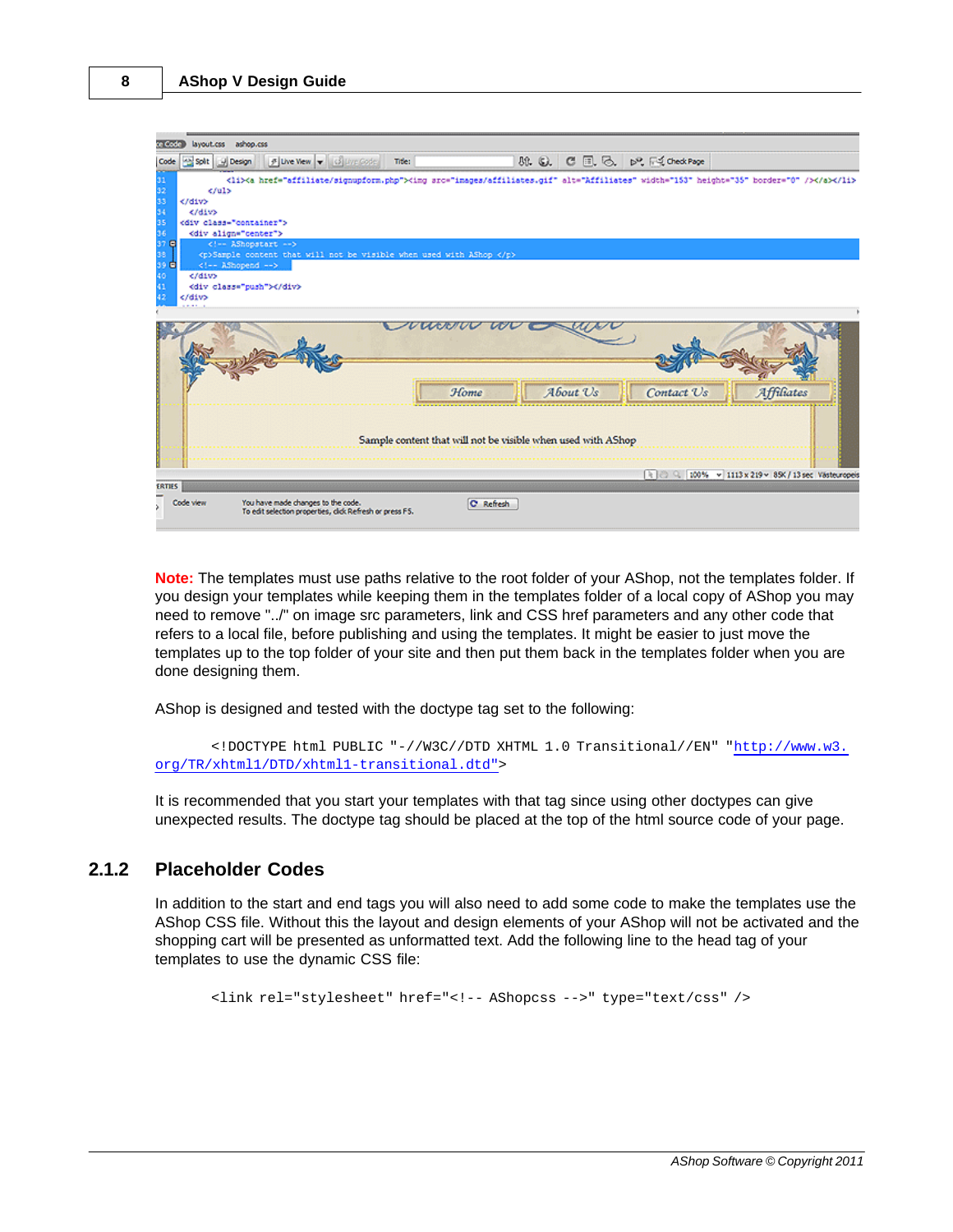

**Note:** The templates must use paths relative to the root folder of your AShop, not the templates folder. If you design your templates while keeping them in the templates folder of a local copy of AShop you may need to remove "../" on image src parameters, link and CSS href parameters and any other code that refers to a local file, before publishing and using the templates. It might be easier to just move the templates up to the top folder of your site and then put them back in the templates folder when you are done designing them.

AShop is designed and tested with the doctype tag set to the following:

```
<!DOCTYPE html PUBLIC "-//W3C//DTD XHTML 1.0 Transitional//EN" "http://www.w3.
org/TR/xhtml1/DTD/xhtml1-transitional.dtd">
```
It is recommended that you start your templates with that tag since using other doctypes can give unexpected results. The doctype tag should be placed at the top of the html source code of your page.

#### <span id="page-7-0"></span>**2.1.2 Placeholder Codes**

In addition to the start and end tags you will also need to add some code to make the templates use the AShop CSS file. Without this the layout and design elements of your AShop will not be activated and the shopping cart will be presented as unformatted text. Add the following line to the head tag of your templates to use the dynamic CSS file:

<link rel="stylesheet" href="<!-- AShopcss -->" type="text/css" />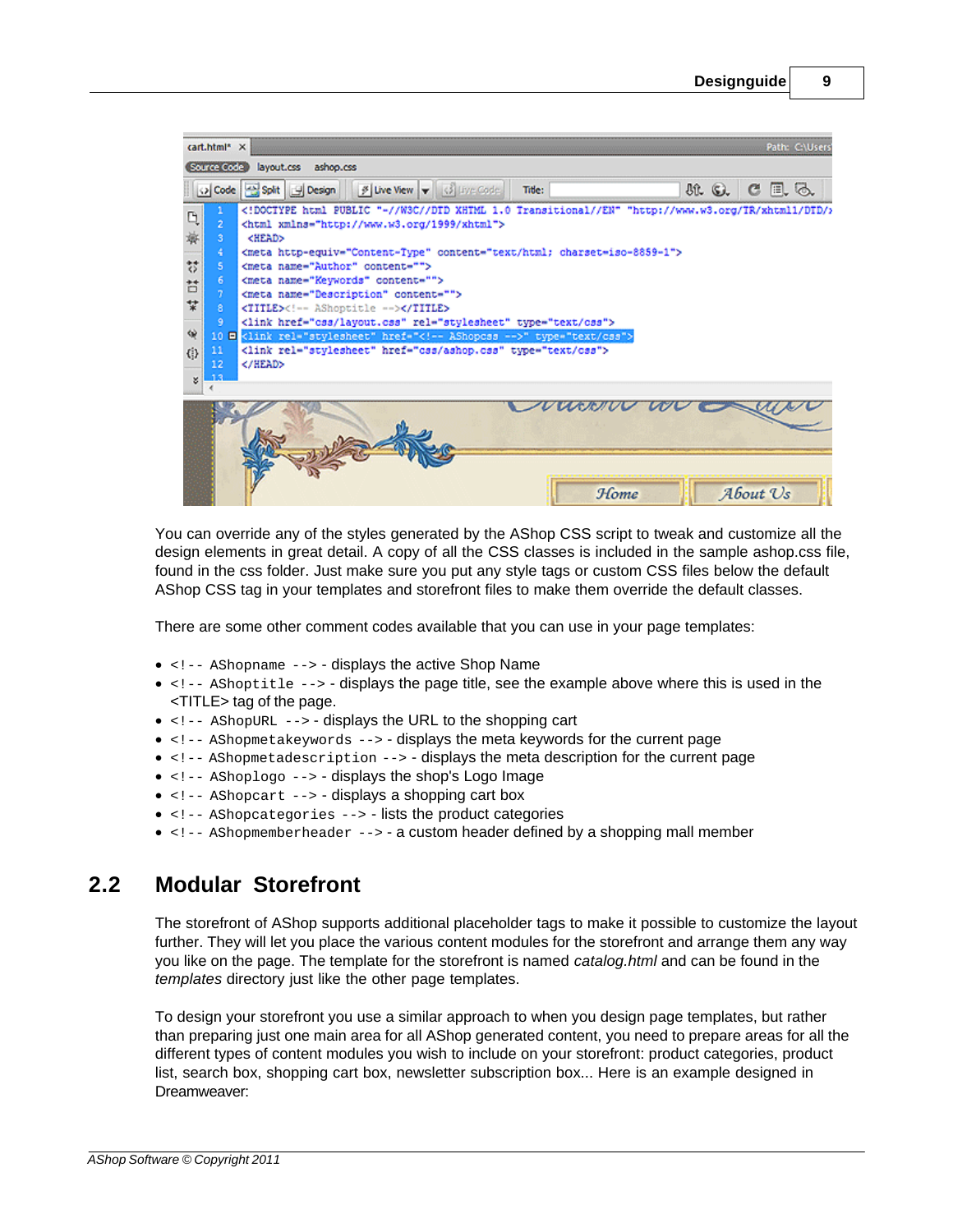| cart.html* X<br>Path: CAUsers'                                               |                                                                                                                                                                                                                                                                                                                                                                                                                                                                                                                                                                                                                                                     |            |  |  |
|------------------------------------------------------------------------------|-----------------------------------------------------------------------------------------------------------------------------------------------------------------------------------------------------------------------------------------------------------------------------------------------------------------------------------------------------------------------------------------------------------------------------------------------------------------------------------------------------------------------------------------------------------------------------------------------------------------------------------------------------|------------|--|--|
| Source Code                                                                  | layout.css ashop.css                                                                                                                                                                                                                                                                                                                                                                                                                                                                                                                                                                                                                                |            |  |  |
|                                                                              | $\beta$ Live View $\blacktriangledown$ (3) Live Code<br>O Code 2 Split 9 Design<br>81. G.<br>Title:                                                                                                                                                                                                                                                                                                                                                                                                                                                                                                                                                 | E. G.<br>с |  |  |
| Q<br>з<br>凝<br>77<br>s<br>6<br>Ħ<br>찿<br>8<br>٠<br>₩<br>11<br>(3)<br>12<br>× | html PUBLIC "-//W3C//DID XHTML 1.0 Transitional//EN" "http://www.w3.org/TR/xhtml1/DID/<br><html xmlns="http://www.w3.org/1999/xhtml"><br/><head><br/><meta content="text/html; charset=utf-8" http-equiv="Content-Type"/><br/><meta_name="author" content=""><br/><meta content="" name="Keywords"/><br/><meta content="" name="Description"/><br/><title><!-- AShoptitle --></title><br/><link href="css/layout.css" rel="stylesheet" type="text/css"/><br/>10 = <link href="&lt;!-- AShopcss --&gt;" rel="stylesheet" type="text/css"/><br/><link href="css/ashop.css" rel="stylesheet" type="text/css"/><br/></meta_name="author"></head></html> |            |  |  |
|                                                                              | Home                                                                                                                                                                                                                                                                                                                                                                                                                                                                                                                                                                                                                                                | About Us   |  |  |

You can override any of the styles generated by the AShop CSS script to tweak and customize all the design elements in great detail. A copy of all the CSS classes is included in the sample ashop.css file, found in the css folder. Just make sure you put any style tags or custom CSS files below the default AShop CSS tag in your templates and storefront files to make them override the default classes.

There are some other comment codes available that you can use in your page templates:

- $\bullet$  <!-- AShopname --> displays the active Shop Name
- · <!-- AShoptitle --> displays the page title, see the example above where this is used in the <TITLE> tag of the page.
- $\bullet$  <!-- AShopURL --> displays the URL to the shopping cart
- · <!-- AShopmetakeywords --> displays the meta keywords for the current page
- · <!-- AShopmetadescription --> displays the meta description for the current page
- $\leftarrow$  -- AShoplogo --> displays the shop's Logo Image
- <!-- AShopcart --> displays a shopping cart box
- · <!-- AShopcategories --> lists the product categories
- $\bullet$  <!-- AShopmemberheader --> a custom header defined by a shopping mall member

### <span id="page-8-0"></span>**2.2 Modular Storefront**

The storefront of AShop supports additional placeholder tags to make it possible to customize the layout further. They will let you place the various content modules for the storefront and arrange them any way you like on the page. The template for the storefront is named *catalog.html* and can be found in the *templates* directory just like the other page templates.

To design your storefront you use a similar approach to when you design page templates, but rather than preparing just one main area for all AShop generated content, you need to prepare areas for all the different types of content modules you wish to include on your storefront: product categories, product list, search box, shopping cart box, newsletter subscription box... Here is an example designed in Dreamweaver: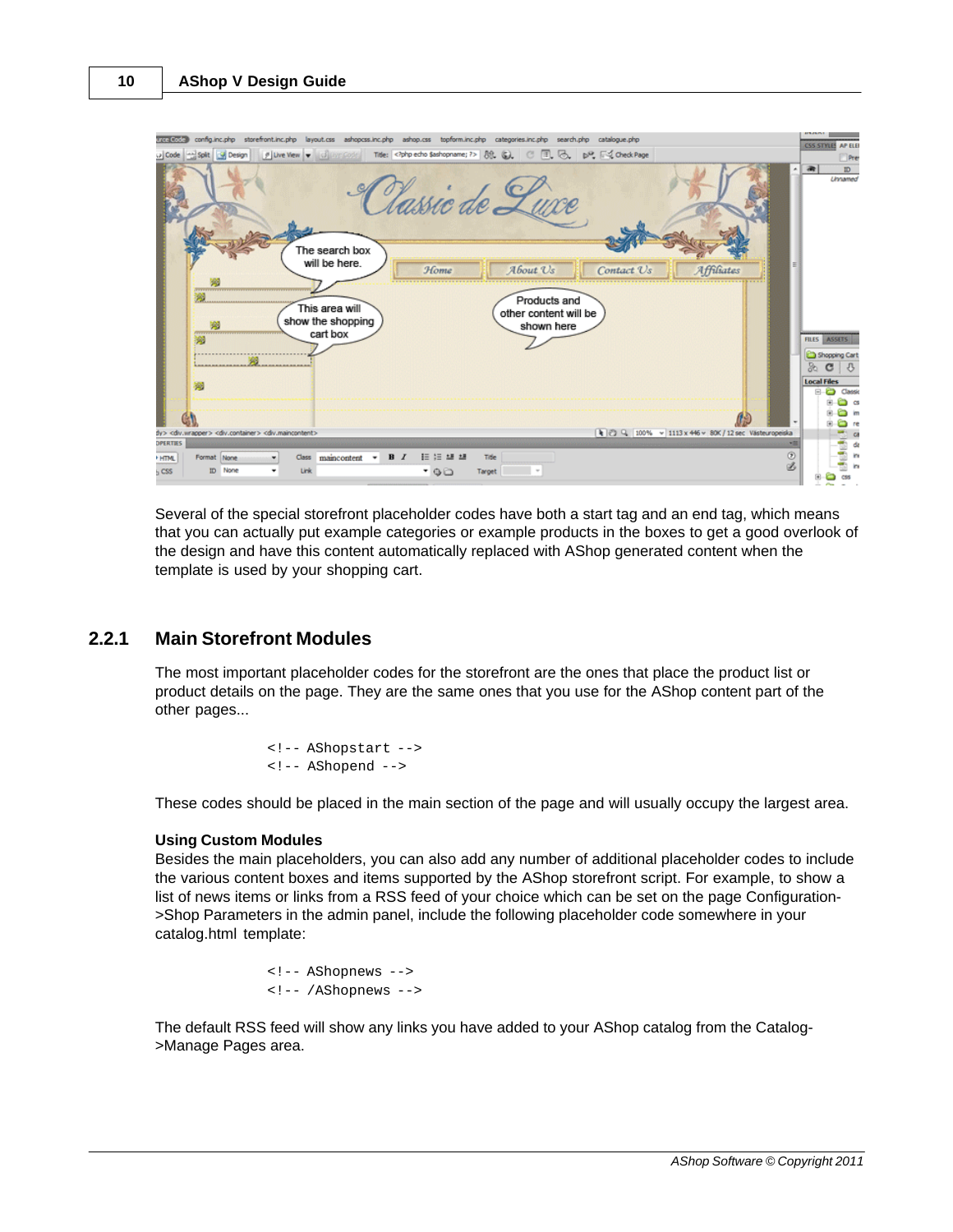

Several of the special storefront placeholder codes have both a start tag and an end tag, which means that you can actually put example categories or example products in the boxes to get a good overlook of the design and have this content automatically replaced with AShop generated content when the template is used by your shopping cart.

#### <span id="page-9-0"></span>**2.2.1 Main Storefront Modules**

The most important placeholder codes for the storefront are the ones that place the product list or product details on the page. They are the same ones that you use for the AShop content part of the other pages...

> <!-- AShopstart --> <!-- AShopend -->

These codes should be placed in the main section of the page and will usually occupy the largest area.

#### **Using Custom Modules**

Besides the main placeholders, you can also add any number of additional placeholder codes to include the various content boxes and items supported by the AShop storefront script. For example, to show a list of news items or links from a RSS feed of your choice which can be set on the page Configuration- >Shop Parameters in the admin panel, include the following placeholder code somewhere in your catalog.html template:

> <!-- AShopnews --> <!-- /AShopnews -->

The default RSS feed will show any links you have added to your AShop catalog from the Catalog- >Manage Pages area.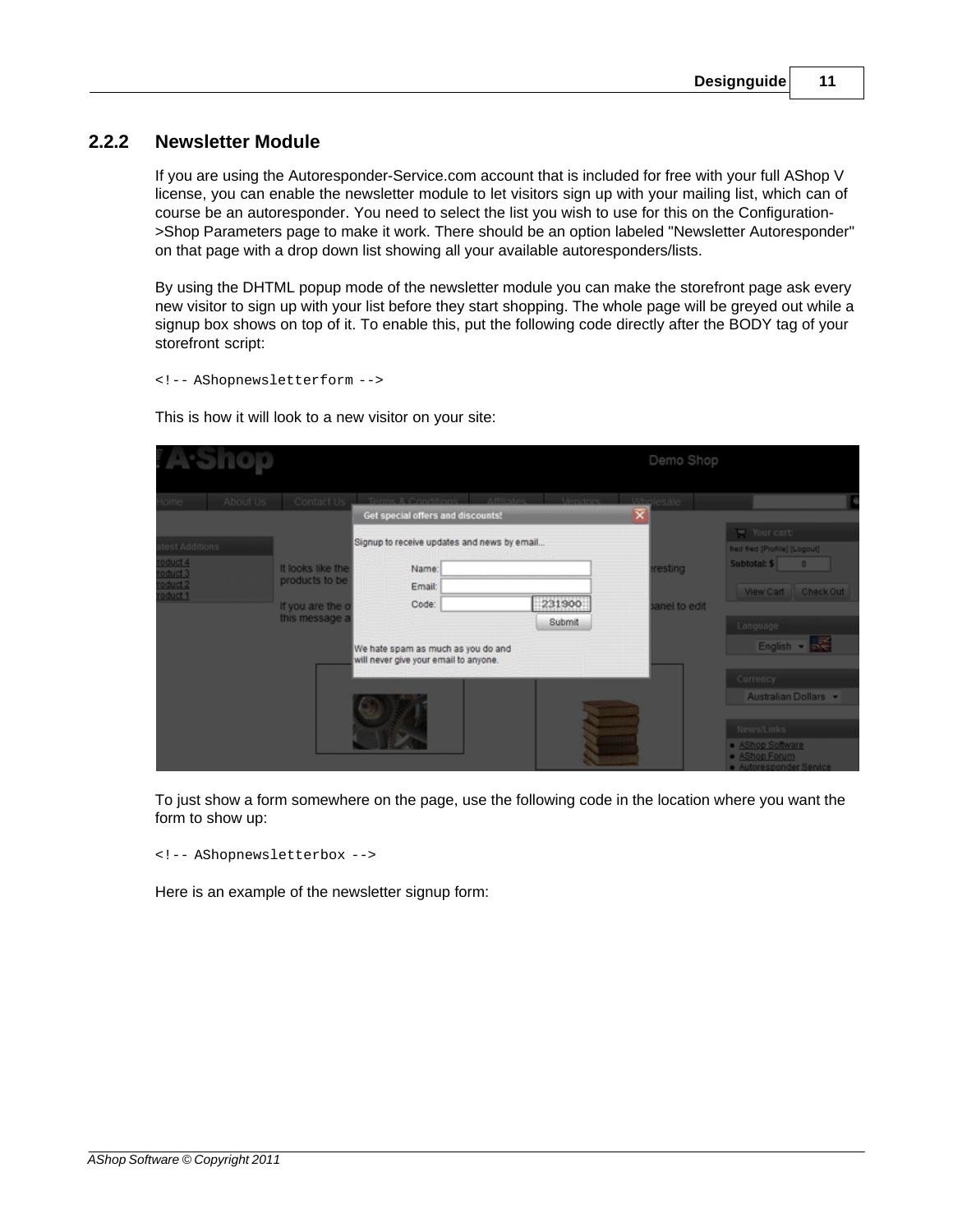#### <span id="page-10-0"></span>**2.2.2 Newsletter Module**

If you are using the Autoresponder-Service.com account that is included for free with your full AShop V license, you can enable the newsletter module to let visitors sign up with your mailing list, which can of course be an autoresponder. You need to select the list you wish to use for this on the Configuration- >Shop Parameters page to make it work. There should be an option labeled "Newsletter Autoresponder" on that page with a drop down list showing all your available autoresponders/lists.

By using the DHTML popup mode of the newsletter module you can make the storefront page ask every new visitor to sign up with your list before they start shopping. The whole page will be greyed out while a signup box shows on top of it. To enable this, put the following code directly after the BODY tag of your storefront script:

<!-- AShopnewsletterform -->

This is how it will look to a new visitor on your site:

|                                         |          |                                     |                                                                             |                   | Demo Shop    |                                                          |
|-----------------------------------------|----------|-------------------------------------|-----------------------------------------------------------------------------|-------------------|--------------|----------------------------------------------------------|
| ome                                     | About Us | Contact Us                          | Affiliatec<br>Terms & Conditions                                            | Mendors Mholesale |              |                                                          |
|                                         |          |                                     | Get special offers and discounts!                                           |                   |              |                                                          |
| est Additions                           |          |                                     | Signup to receive updates and news by email                                 |                   |              | " Your cart:<br>fred fred [Profile] [Logout]             |
| oduct 4<br>oduct 3                      |          | It looks like the<br>products to be | Name:                                                                       |                   | resting      | Subtotal: \$<br>$\blacksquare$                           |
| duct <sub>2</sub><br>oduct <sub>1</sub> |          | If you are the o                    | Email:<br>Code:                                                             | 231900            | anel to edit | <b>Wew Cart</b><br><b>Check Out</b>                      |
|                                         |          | this message a                      |                                                                             | Submit            |              | Language                                                 |
|                                         |          |                                     | We hate spam as much as you do and<br>will never give your email to anyone. |                   |              | English - Bra                                            |
|                                         |          |                                     |                                                                             |                   |              | Currency                                                 |
|                                         |          |                                     |                                                                             |                   |              | Australian Dollars *                                     |
|                                         |          |                                     |                                                                             |                   |              | News/Links                                               |
|                                         |          |                                     |                                                                             |                   |              | · AShop Software<br>AShop Forum<br>Autoresponder Service |

To just show a form somewhere on the page, use the following code in the location where you want the form to show up:

<!-- AShopnewsletterbox -->

Here is an example of the newsletter signup form: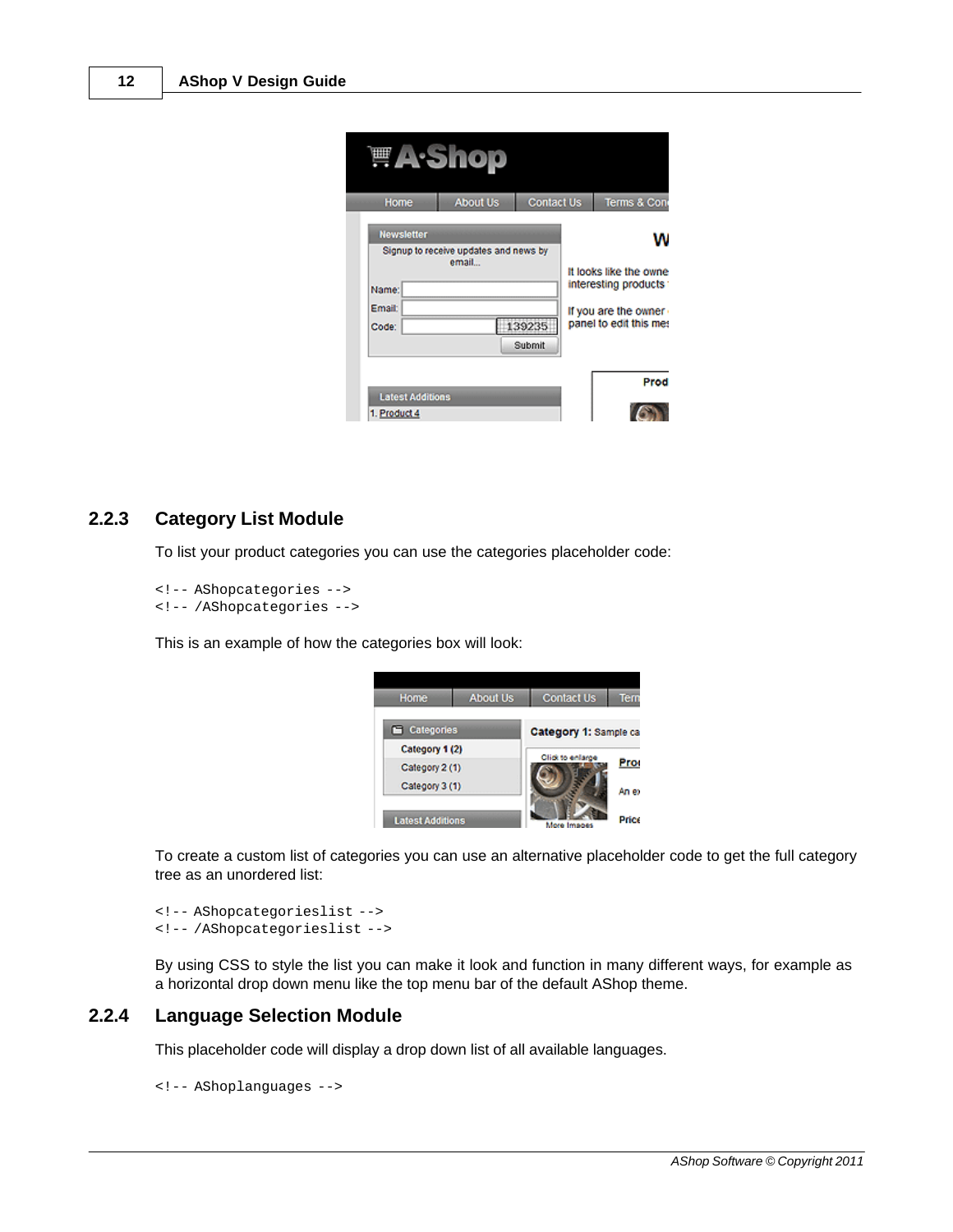|                          |                                                                                         | <b>A</b> -Shop  |                   |  |                                                                                                   |
|--------------------------|-----------------------------------------------------------------------------------------|-----------------|-------------------|--|---------------------------------------------------------------------------------------------------|
| Home                     |                                                                                         | <b>About Us</b> | <b>Contact Us</b> |  | Terms & Con                                                                                       |
| Name:<br>Email:<br>Code: | <b>Newsletter</b><br>Signup to receive updates and news by<br>email<br>139235<br>Submit |                 |                   |  | It looks like the owne<br>interesting products<br>If you are the owner.<br>panel to edit this mes |
| 1. Product 4             | <b>Latest Additions</b>                                                                 |                 |                   |  | Prod                                                                                              |

#### <span id="page-11-0"></span>**2.2.3 Category List Module**

To list your product categories you can use the categories placeholder code:

```
<!-- AShopcategories -->
<!-- /AShopcategories -->
```
This is an example of how the categories box will look:



To create a custom list of categories you can use an alternative placeholder code to get the full category tree as an unordered list:

```
<!-- AShopcategorieslist -->
<!-- /AShopcategorieslist -->
```
By using CSS to style the list you can make it look and function in many different ways, for example as a horizontal drop down menu like the top menu bar of the default AShop theme.

#### <span id="page-11-1"></span>**2.2.4 Language Selection Module**

This placeholder code will display a drop down list of all available languages.

```
<!-- AShoplanguages -->
```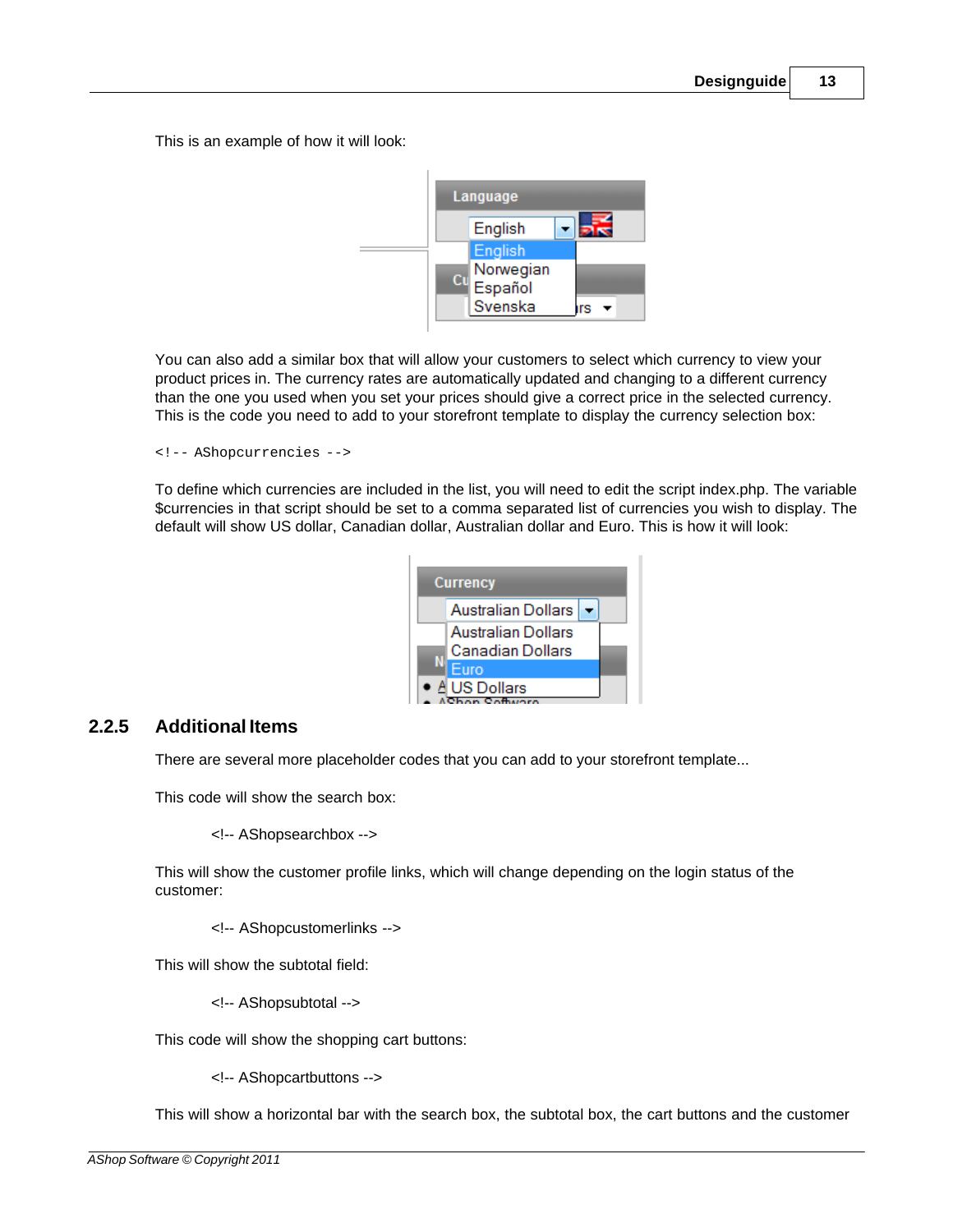This is an example of how it will look:



You can also add a similar box that will allow your customers to select which currency to view your product prices in. The currency rates are automatically updated and changing to a different currency than the one you used when you set your prices should give a correct price in the selected currency. This is the code you need to add to your storefront template to display the currency selection box:

```
<!-- AShopcurrencies -->
```
To define which currencies are included in the list, you will need to edit the script index.php. The variable \$currencies in that script should be set to a comma separated list of currencies you wish to display. The default will show US dollar, Canadian dollar, Australian dollar and Euro. This is how it will look:

| <b>Currency</b> |                                        |  |  |  |
|-----------------|----------------------------------------|--|--|--|
|                 | Australian Dollars                     |  |  |  |
|                 | Australian Dollars<br>Canadian Dollars |  |  |  |
|                 | Furo                                   |  |  |  |
|                 | ● A US Dollars<br>$\sim$ Cather        |  |  |  |

#### <span id="page-12-0"></span>**2.2.5 Additional Items**

There are several more placeholder codes that you can add to your storefront template...

This code will show the search box:

<!-- AShopsearchbox -->

This will show the customer profile links, which will change depending on the login status of the customer:

<!-- AShopcustomerlinks -->

This will show the subtotal field:

<!-- AShopsubtotal -->

This code will show the shopping cart buttons:

<!-- AShopcartbuttons -->

This will show a horizontal bar with the search box, the subtotal box, the cart buttons and the customer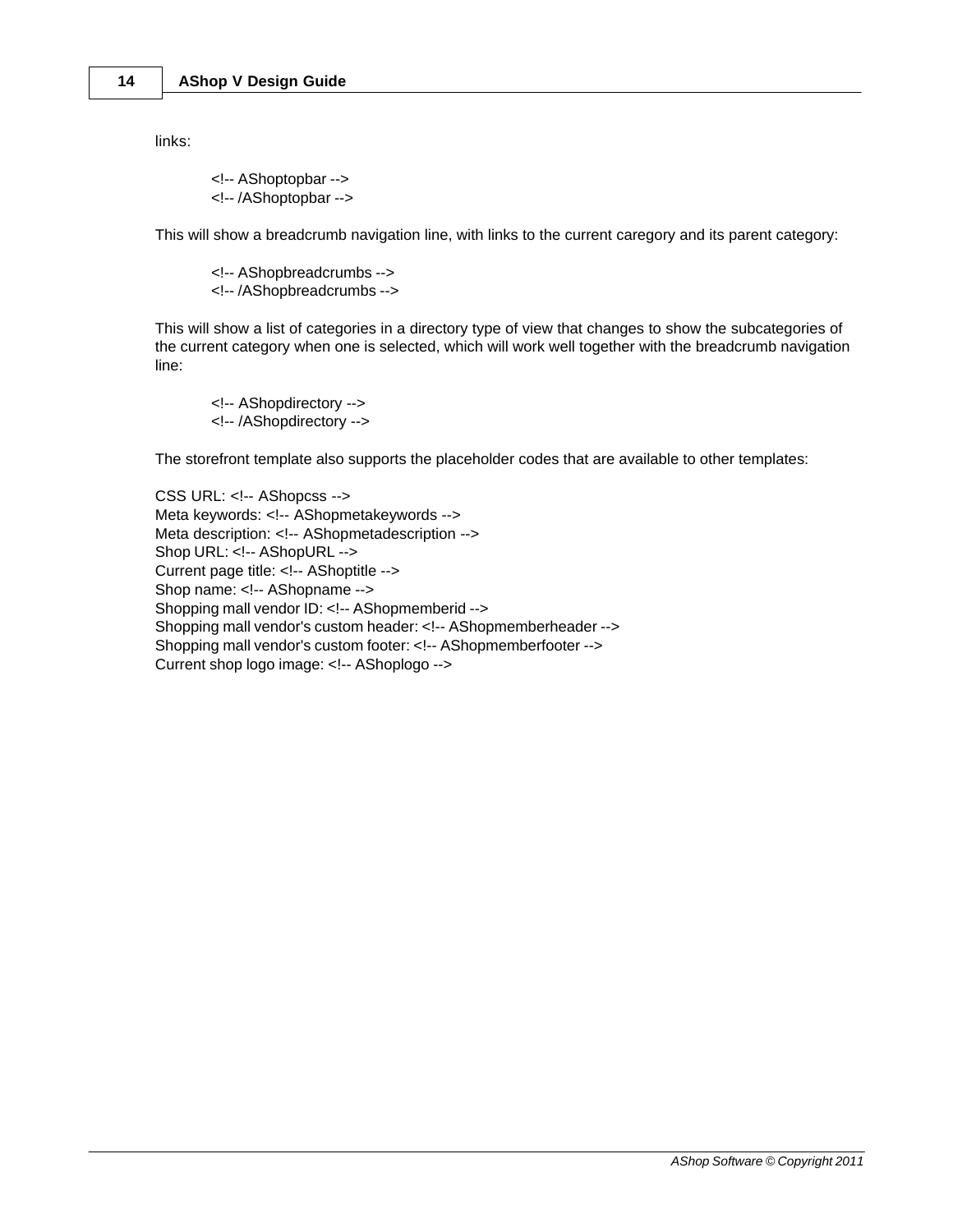links:

<!-- AShoptopbar --> <!-- /AShoptopbar -->

This will show a breadcrumb navigation line, with links to the current caregory and its parent category:

<!-- AShopbreadcrumbs --> <!-- /AShopbreadcrumbs -->

This will show a list of categories in a directory type of view that changes to show the subcategories of the current category when one is selected, which will work well together with the breadcrumb navigation line:

<!-- AShopdirectory --> <!-- /AShopdirectory -->

The storefront template also supports the placeholder codes that are available to other templates:

CSS URL: <!-- AShopcss --> Meta keywords: <!-- AShopmetakeywords --> Meta description: <!-- AShopmetadescription --> Shop URL: <!-- AShopURL --> Current page title: <!-- AShoptitle --> Shop name: <!-- AShopname --> Shopping mall vendor ID: <!-- AShopmemberid --> Shopping mall vendor's custom header: <!-- AShopmemberheader --> Shopping mall vendor's custom footer: <!-- AShopmemberfooter --> Current shop logo image: <!-- AShoplogo -->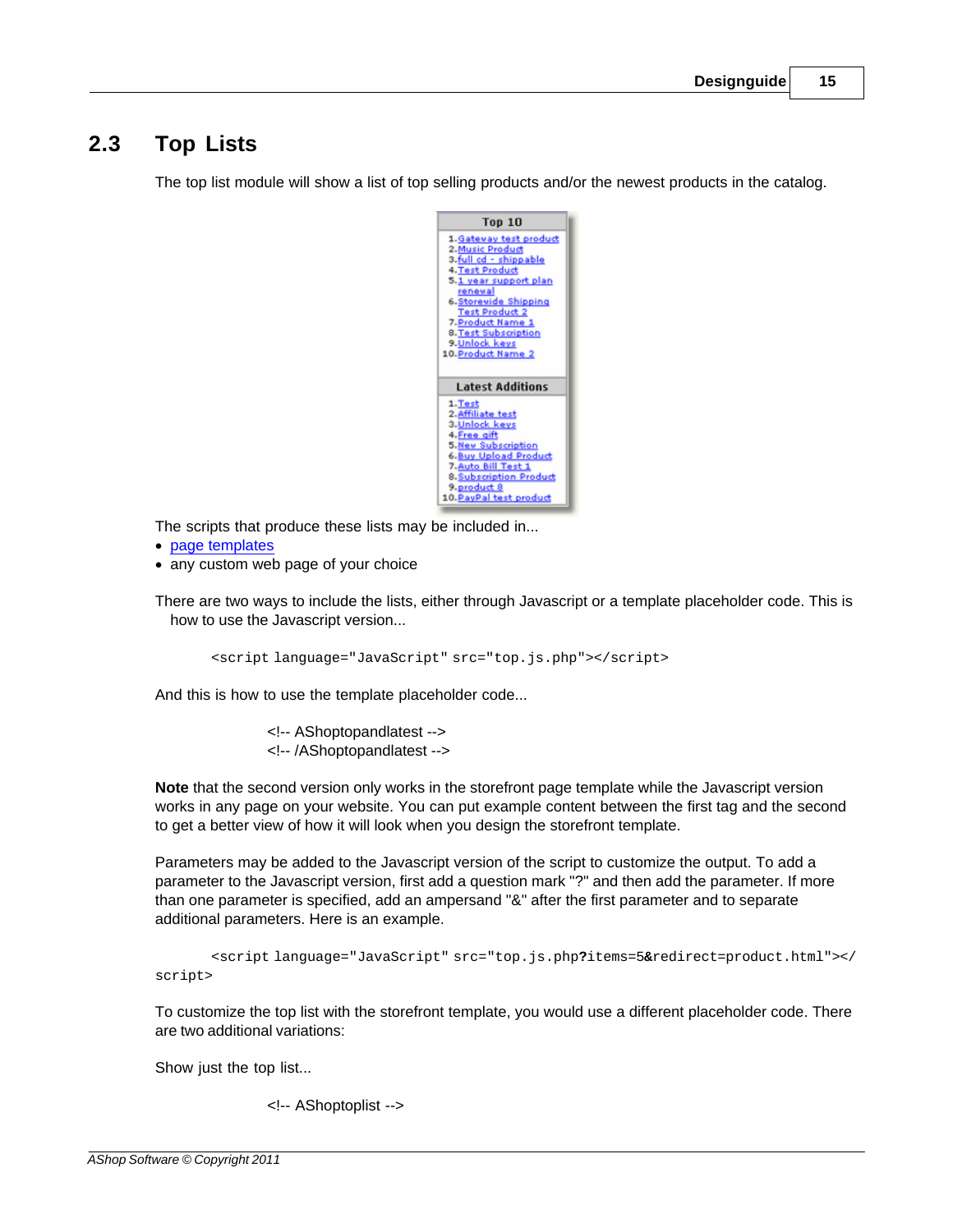### <span id="page-14-0"></span>**2.3 Top Lists**

The top list module will show a list of top selling products and/or the newest products in the catalog.

| <b>Top 10</b>                                |
|----------------------------------------------|
| 1. Gateway test product                      |
| 2. Music Product                             |
| 3.full cd - shippable                        |
| 4. Test Product                              |
| 5.1 year support plan<br>reneval             |
| 6. Storevide Shipping                        |
| <b>Test Product 2</b>                        |
| 7. Product Name 1                            |
| 8. Test Subscription                         |
| 9. Unlock keys                               |
| 10. Product Name 2                           |
|                                              |
| <b>Latest Additions</b>                      |
| 1. Test                                      |
| 2. Affiliate test                            |
| 3. Unlock keys                               |
| 4 Free gift                                  |
| 5. New Subscription                          |
| 6. Buy Upload Product<br>7. Auto Bill Test 1 |
| 8. Subscription Product                      |
| 9.product 8                                  |
| 10. PayPal test product                      |

The scripts that produce these lists may be included in...

- · [page templates](#page-4-0)
- · any custom web page of your choice

There are two ways to include the lists, either through Javascript or a template placeholder code. This is how to use the Javascript version...

<script language="JavaScript" src="top.js.php"></script>

And this is how to use the template placeholder code...

<!-- AShoptopandlatest --> <!-- /AShoptopandlatest -->

**Note** that the second version only works in the storefront page template while the Javascript version works in any page on your website. You can put example content between the first tag and the second to get a better view of how it will look when you design the storefront template.

Parameters may be added to the Javascript version of the script to customize the output. To add a parameter to the Javascript version, first add a question mark "?" and then add the parameter. If more than one parameter is specified, add an ampersand "&" after the first parameter and to separate additional parameters. Here is an example.

```
<script language="JavaScript" src="top.js.php?items=5&redirect=product.html"></
script>
```
To customize the top list with the storefront template, you would use a different placeholder code. There are two additional variations:

Show just the top list...

<!-- AShoptoplist -->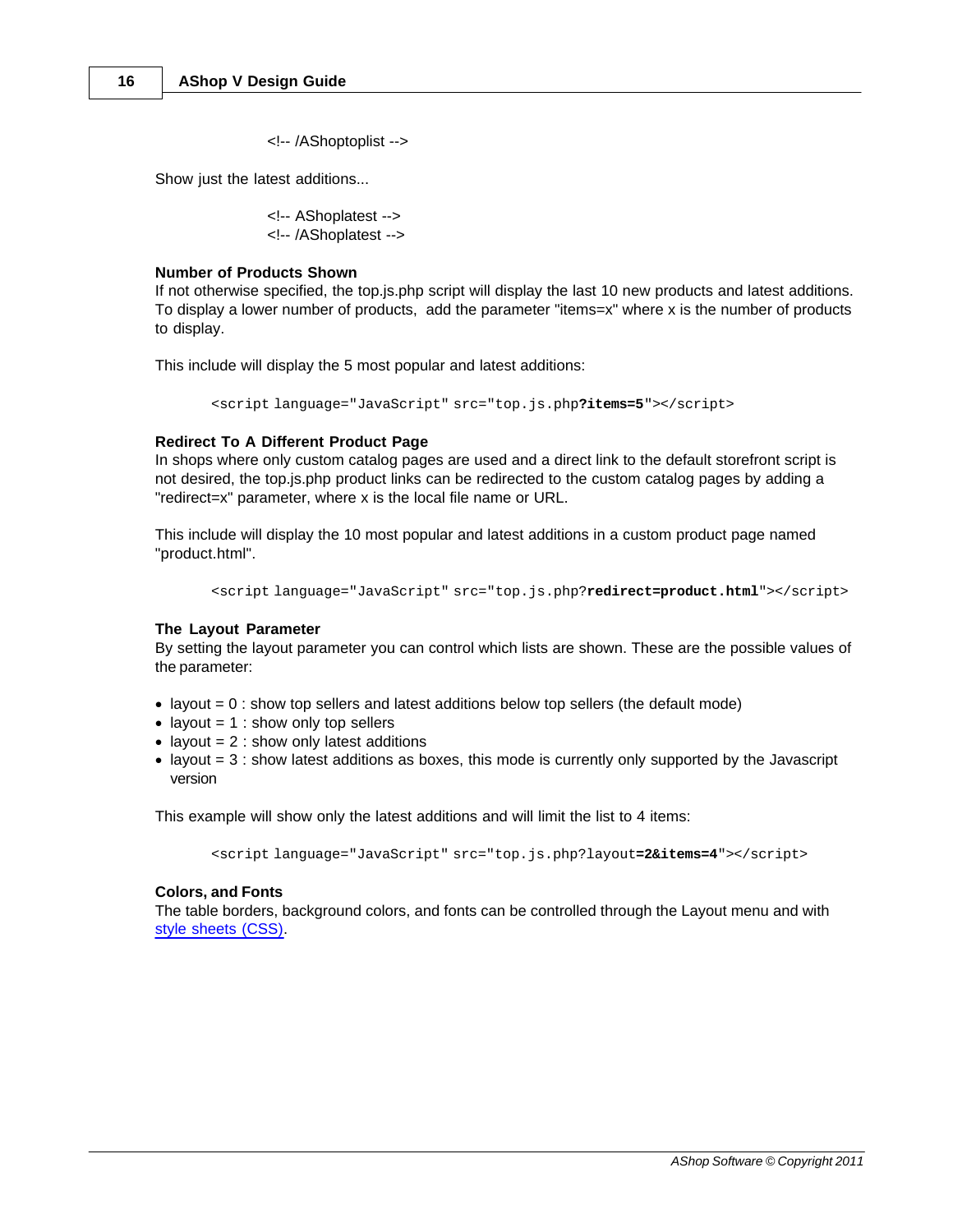<!-- /AShoptoplist -->

Show just the latest additions...

<!-- AShoplatest --> <!-- /AShoplatest -->

#### **Number of Products Shown**

If not otherwise specified, the top.js.php script will display the last 10 new products and latest additions. To display a lower number of products, add the parameter "items=x" where x is the number of products to display.

This include will display the 5 most popular and latest additions:

<script language="JavaScript" src="top.js.php**?items=5**"></script>

#### **Redirect To A Different Product Page**

In shops where only custom catalog pages are used and a direct link to the default storefront script is not desired, the top.js.php product links can be redirected to the custom catalog pages by adding a "redirect=x" parameter, where x is the local file name or URL.

This include will display the 10 most popular and latest additions in a custom product page named "product.html".

```
<script language="JavaScript" src="top.js.php?redirect=product.html"></script>
```
#### **The Layout Parameter**

By setting the layout parameter you can control which lists are shown. These are the possible values of the parameter:

- $\bullet$  layout = 0 : show top sellers and latest additions below top sellers (the default mode)
- layout  $= 1$  : show only top sellers
- layout  $= 2$  : show only latest additions
- $\bullet$  layout = 3 : show latest additions as boxes, this mode is currently only supported by the Javascript version

This example will show only the latest additions and will limit the list to 4 items:

<script language="JavaScript" src="top.js.php?layout**=2&items=4**"></script>

#### **Colors, and Fonts**

The table borders, background colors, and fonts can be controlled through the Layout menu and with [style sheets \(CSS\)](#page-16-0).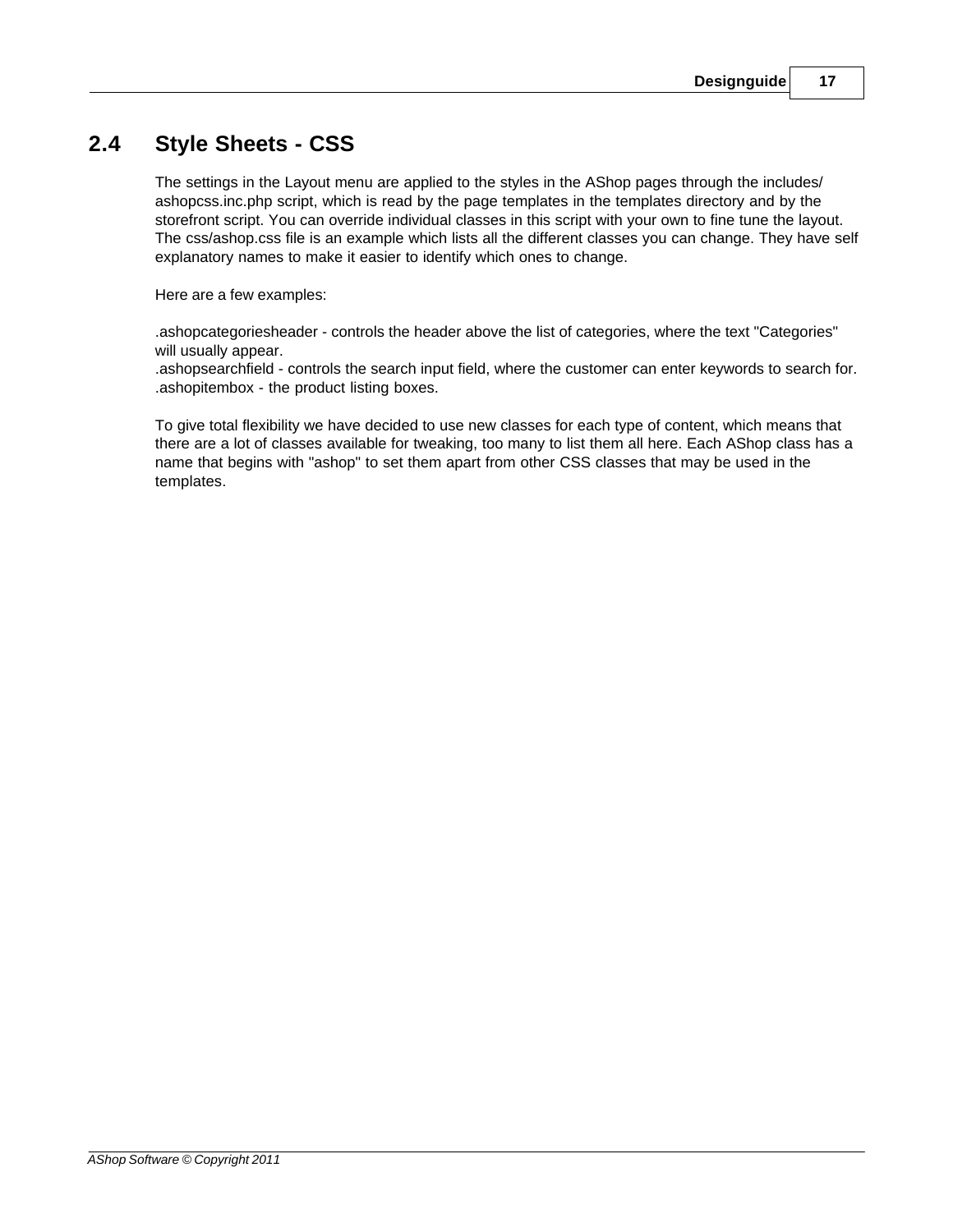### <span id="page-16-0"></span>**2.4 Style Sheets - CSS**

The settings in the Layout menu are applied to the styles in the AShop pages through the includes/ ashopcss.inc.php script, which is read by the page templates in the templates directory and by the storefront script. You can override individual classes in this script with your own to fine tune the layout. The css/ashop.css file is an example which lists all the different classes you can change. They have self explanatory names to make it easier to identify which ones to change.

Here are a few examples:

.ashopcategoriesheader - controls the header above the list of categories, where the text "Categories" will usually appear.

.ashopsearchfield - controls the search input field, where the customer can enter keywords to search for. .ashopitembox - the product listing boxes.

To give total flexibility we have decided to use new classes for each type of content, which means that there are a lot of classes available for tweaking, too many to list them all here. Each AShop class has a name that begins with "ashop" to set them apart from other CSS classes that may be used in the templates.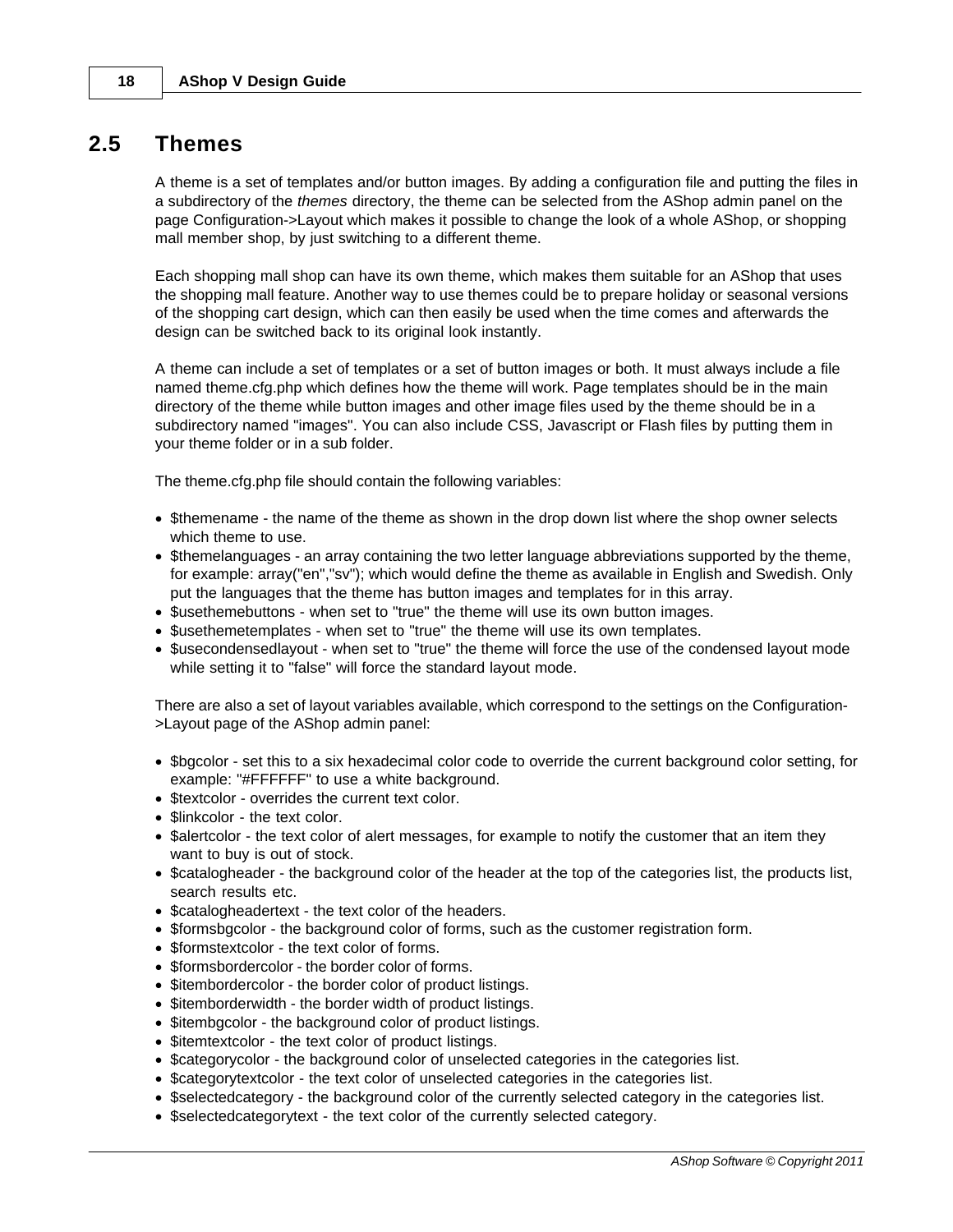### <span id="page-17-0"></span>**2.5 Themes**

A theme is a set of templates and/or button images. By adding a configuration file and putting the files in a subdirectory of the *themes* directory, the theme can be selected from the AShop admin panel on the page Configuration->Layout which makes it possible to change the look of a whole AShop, or shopping mall member shop, by just switching to a different theme.

Each shopping mall shop can have its own theme, which makes them suitable for an AShop that uses the shopping mall feature. Another way to use themes could be to prepare holiday or seasonal versions of the shopping cart design, which can then easily be used when the time comes and afterwards the design can be switched back to its original look instantly.

A theme can include a set of templates or a set of button images or both. It must always include a file named theme.cfg.php which defines how the theme will work. Page templates should be in the main directory of the theme while button images and other image files used by the theme should be in a subdirectory named "images". You can also include CSS, Javascript or Flash files by putting them in your theme folder or in a sub folder.

The theme.cfg.php file should contain the following variables:

- · \$themename the name of the theme as shown in the drop down list where the shop owner selects which theme to use.
- · \$themelanguages an array containing the two letter language abbreviations supported by the theme, for example: array("en","sv"); which would define the theme as available in English and Swedish. Only put the languages that the theme has button images and templates for in this array.
- · \$usethemebuttons when set to "true" the theme will use its own button images.
- · \$usethemetemplates when set to "true" the theme will use its own templates.
- · \$usecondensedlayout when set to "true" the theme will force the use of the condensed layout mode while setting it to "false" will force the standard layout mode.

There are also a set of layout variables available, which correspond to the settings on the Configuration- >Layout page of the AShop admin panel:

- · \$bgcolor set this to a six hexadecimal color code to override the current background color setting, for example: "#FFFFFF" to use a white background.
- · \$textcolor overrides the current text color.
- \$linkcolor the text color.
- · \$alertcolor the text color of alert messages, for example to notify the customer that an item they want to buy is out of stock.
- · \$catalogheader the background color of the header at the top of the categories list, the products list, search results etc.
- · \$catalogheadertext the text color of the headers.
- · \$formsbgcolor the background color of forms, such as the customer registration form.
- · \$formstextcolor the text color of forms.
- · \$formsbordercolor the border color of forms.
- \$itembordercolor the border color of product listings.
- · \$itemborderwidth the border width of product listings.
- \$itembgcolor the background color of product listings.
- \$itemtextcolor the text color of product listings.
- · \$categorycolor the background color of unselected categories in the categories list.
- · \$categorytextcolor the text color of unselected categories in the categories list.
- · \$selectedcategory the background color of the currently selected category in the categories list.
- · \$selectedcategorytext the text color of the currently selected category.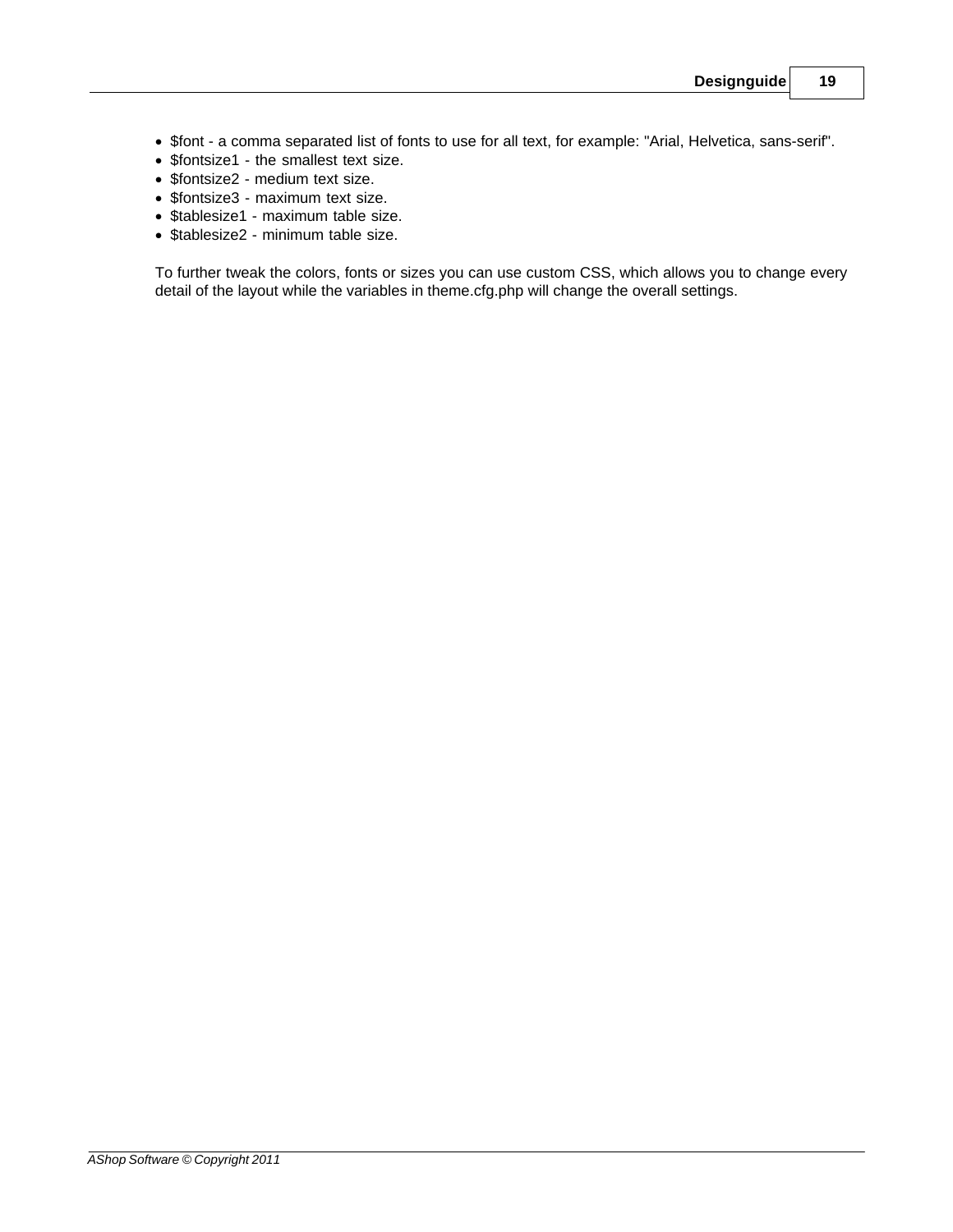- · \$font a comma separated list of fonts to use for all text, for example: "Arial, Helvetica, sans-serif".
- · \$fontsize1 the smallest text size.
- · \$fontsize2 medium text size.
- · \$fontsize3 maximum text size.
- · \$tablesize1 maximum table size.
- · \$tablesize2 minimum table size.

To further tweak the colors, fonts or sizes you can use custom CSS, which allows you to change every detail of the layout while the variables in theme.cfg.php will change the overall settings.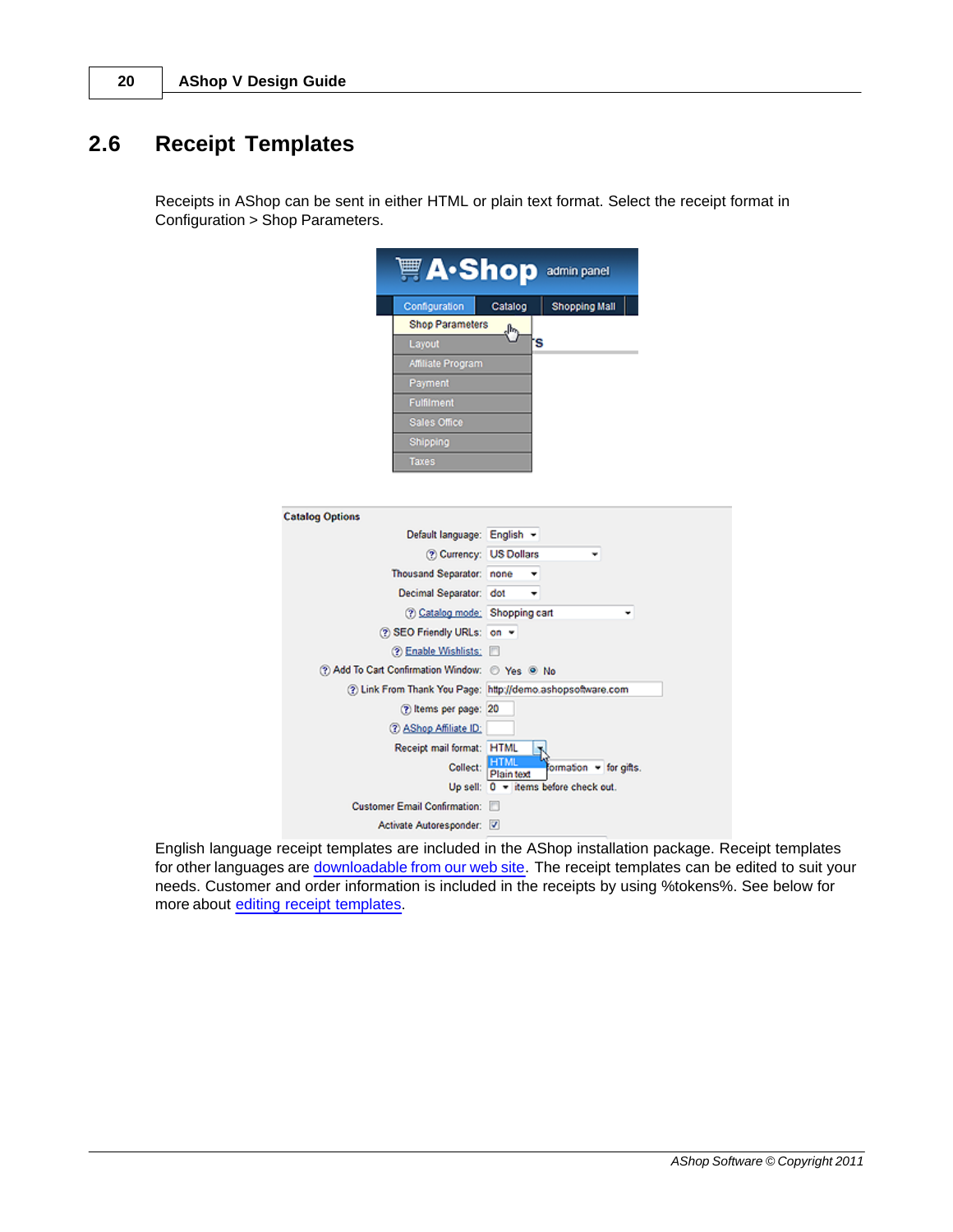### <span id="page-19-0"></span>**2.6 Receipt Templates**

Receipts in AShop can be sent in either HTML or plain text format. Select the receipt format in Configuration > Shop Parameters.

|                                                | <b>Mexical A</b> •Shop admin panel                         |
|------------------------------------------------|------------------------------------------------------------|
| Configuration                                  | <b>Shopping Mall</b><br>Catalog                            |
| <b>Shop Parameters</b>                         | վիդ                                                        |
| Layout                                         | 'S                                                         |
| Affiliate Program                              |                                                            |
| Payment                                        |                                                            |
| Fulfilment                                     |                                                            |
| Sales Office                                   |                                                            |
| Shipping                                       |                                                            |
| Taxes                                          |                                                            |
|                                                |                                                            |
|                                                |                                                            |
| <b>Catalog Options</b>                         |                                                            |
| Default language: English v                    |                                                            |
| (?) Currency: US Dollars                       |                                                            |
| Thousand Separator: none                       | ÷                                                          |
| Decimal Separator: dot                         | ٠                                                          |
| (?) Catalog mode: Shopping cart                |                                                            |
| (?) SEO Friendly URLs: on ▼                    |                                                            |
| <b>② Enable Wishlists:</b>                     |                                                            |
| 2) Add To Cart Confirmation Window: 2 Yes 3 No |                                                            |
|                                                | 2) Link From Thank You Page: http://demo.ashopsoftware.com |
| (?) Items per page: 20                         |                                                            |
| 2 AShop Affiliate ID:                          |                                                            |
| Receipt mail format: HTML                      |                                                            |
| Collect:                                       | formation - for gifts.<br>Plain text                       |
|                                                | Up sell: $0 -$ items before check out.                     |
| <b>Customer Email Confirmation:</b>            |                                                            |
| Activate Autoresponder: V                      |                                                            |

English language receipt templates are included in the AShop installation package. Receipt templates for other languages are [downloadable from our web site.](http://www.ashopsoftware.com/dlcounter/downloads.php#language) The receipt templates can be edited to suit your needs. Customer and order information is included in the receipts by using %tokens%. See below for more about [editing receipt templates](#page-20-0).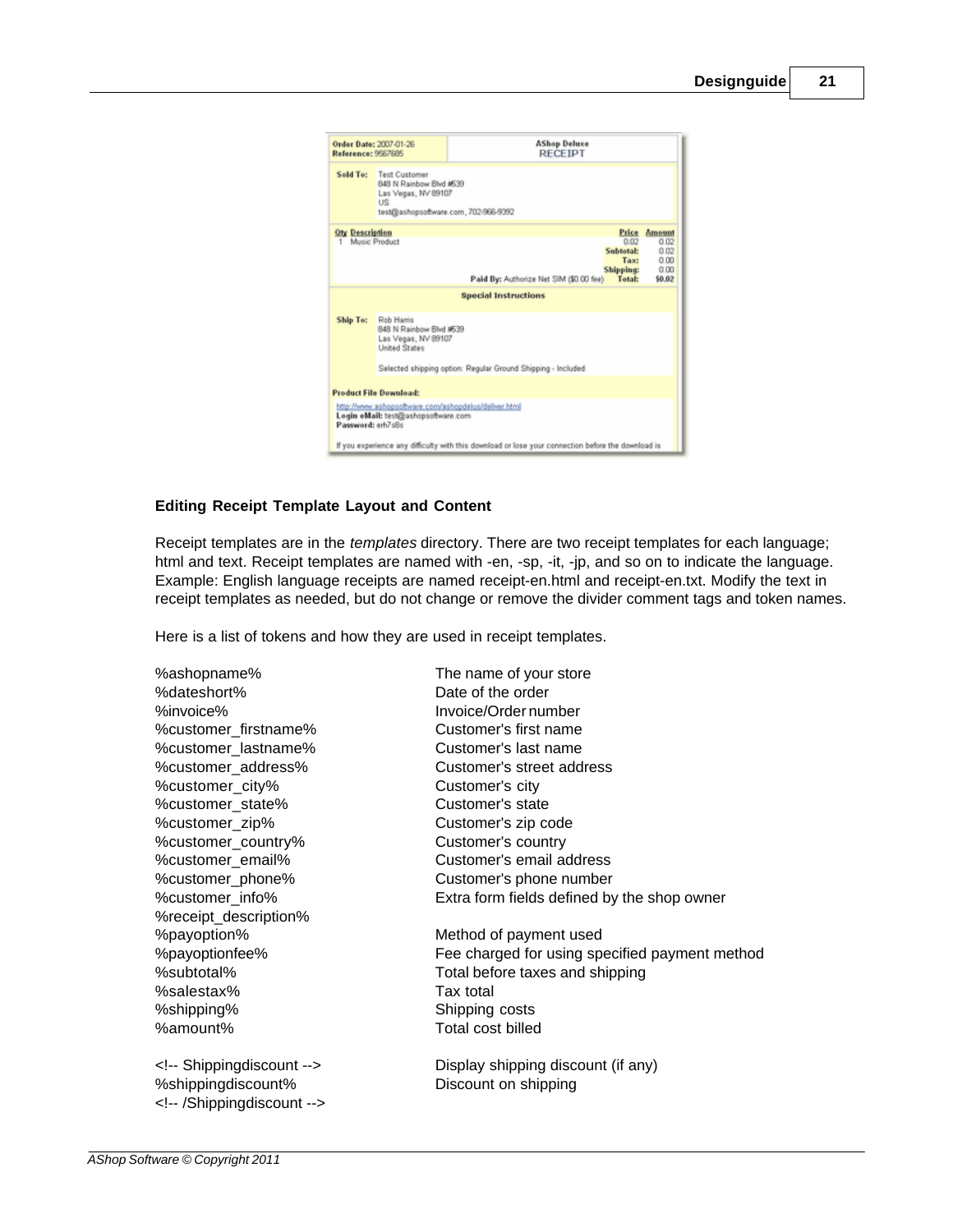

#### <span id="page-20-0"></span>**Editing Receipt Template Layout and Content**

Receipt templates are in the *templates* directory. There are two receipt templates for each language; html and text. Receipt templates are named with -en, -sp, -it, -jp, and so on to indicate the language. Example: English language receipts are named receipt-en.html and receipt-en.txt. Modify the text in receipt templates as needed, but do not change or remove the divider comment tags and token names.

Here is a list of tokens and how they are used in receipt templates.

%ashopname% The name of your store %dateshort% Date of the order %invoice% Invoice/Order number %customer\_firstname% Customer's first name %customer\_lastname% Customer's last name %customer\_city% Customer's city %customer\_state% Customer's state %customer\_zip% Customer's zip code %customer\_country% Customer's country %receipt\_description% %payoption% Method of payment used %salestax% Tax total %shipping% Shipping costs %amount% Total cost billed

%shippingdiscount% Discount on shipping <!-- /Shippingdiscount -->

%customer\_address% Customer's street address %customer\_email% Customer's email address %customer\_phone% Customer's phone number %customer\_info% Extra form fields defined by the shop owner %payoptionfee% Fee charged for using specified payment method

%subtotal% Total before taxes and shipping

<!-- Shippingdiscount --> Display shipping discount (if any)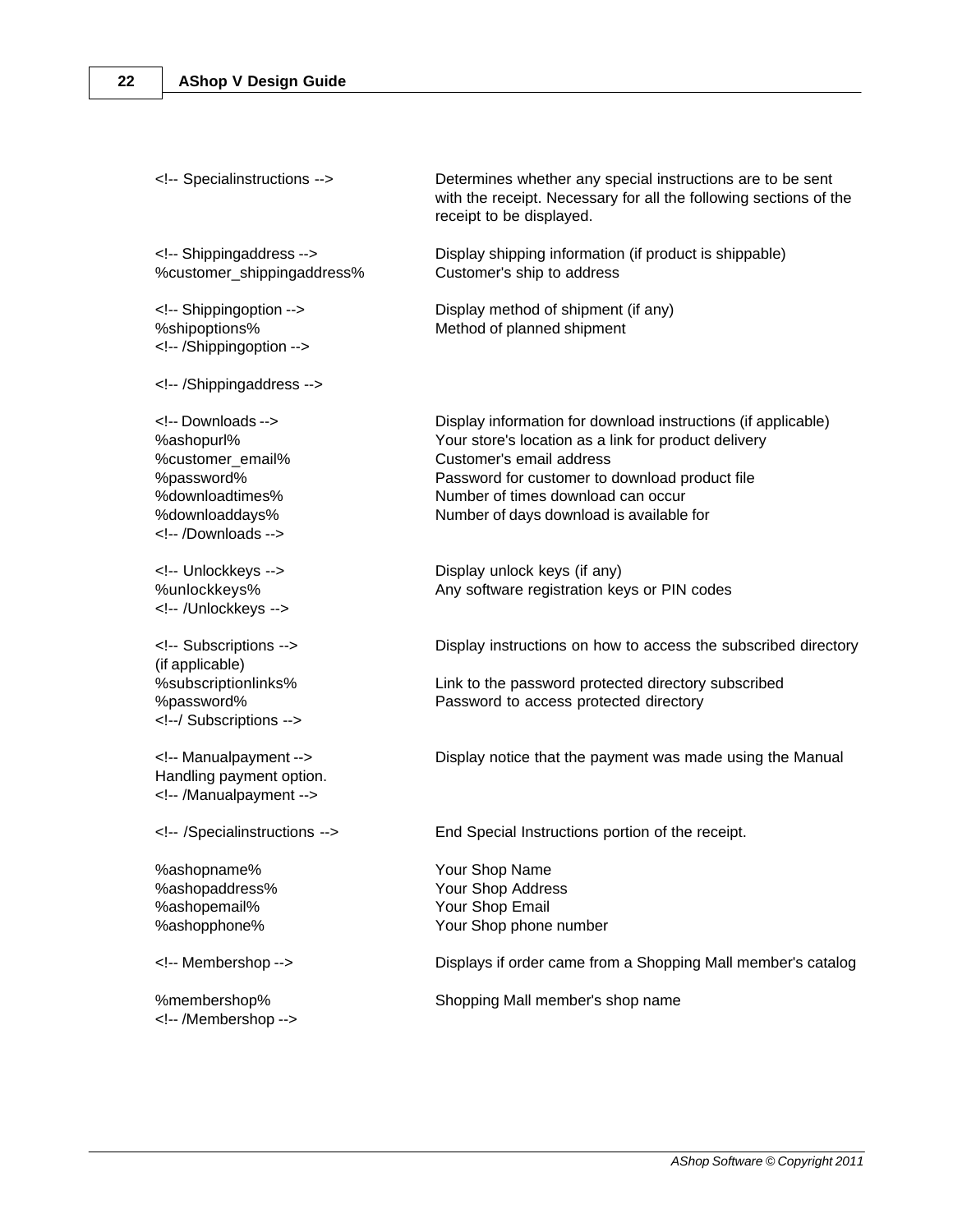%customer\_shippingaddress% Customer's ship to address

<!-- /Shippingoption -->

<!-- /Shippingaddress -->

<!-- /Downloads -->

<!-- /Unlockkeys -->

(if applicable) <!--/ Subscriptions -->

Handling payment option. <!-- /Manualpayment -->

%ashopname% Your Shop Name %ashopemail% Your Shop Email

<!-- /Membershop -->

<!-- Specialinstructions --> Determines whether any special instructions are to be sent with the receipt. Necessary for all the following sections of the receipt to be displayed.

<!-- Shippingaddress --> Display shipping information (if product is shippable)

<!-- Shippingoption --> Display method of shipment (if any) %shipoptions% Method of planned shipment

<!-- Downloads --> Display information for download instructions (if applicable) %ashopurl% Your store's location as a link for product delivery %customer\_email% Customer's email address %password% Password for customer to download product file %downloadtimes% Number of times download can occur %downloaddays% Number of days download is available for

<!-- Unlockkeys --> Display unlock keys (if any) %unlockkeys% Any software registration keys or PIN codes

<!-- Subscriptions --> Display instructions on how to access the subscribed directory

%subscriptionlinks% Link to the password protected directory subscribed %password% Password to access protected directory

<!-- Manualpayment --> Display notice that the payment was made using the Manual

<!-- /Specialinstructions --> End Special Instructions portion of the receipt.

%ashopaddress% Your Shop Address %ashopphone% Your Shop phone number

<!-- Membershop --> Displays if order came from a Shopping Mall member's catalog

%membershop% Shopping Mall member's shop name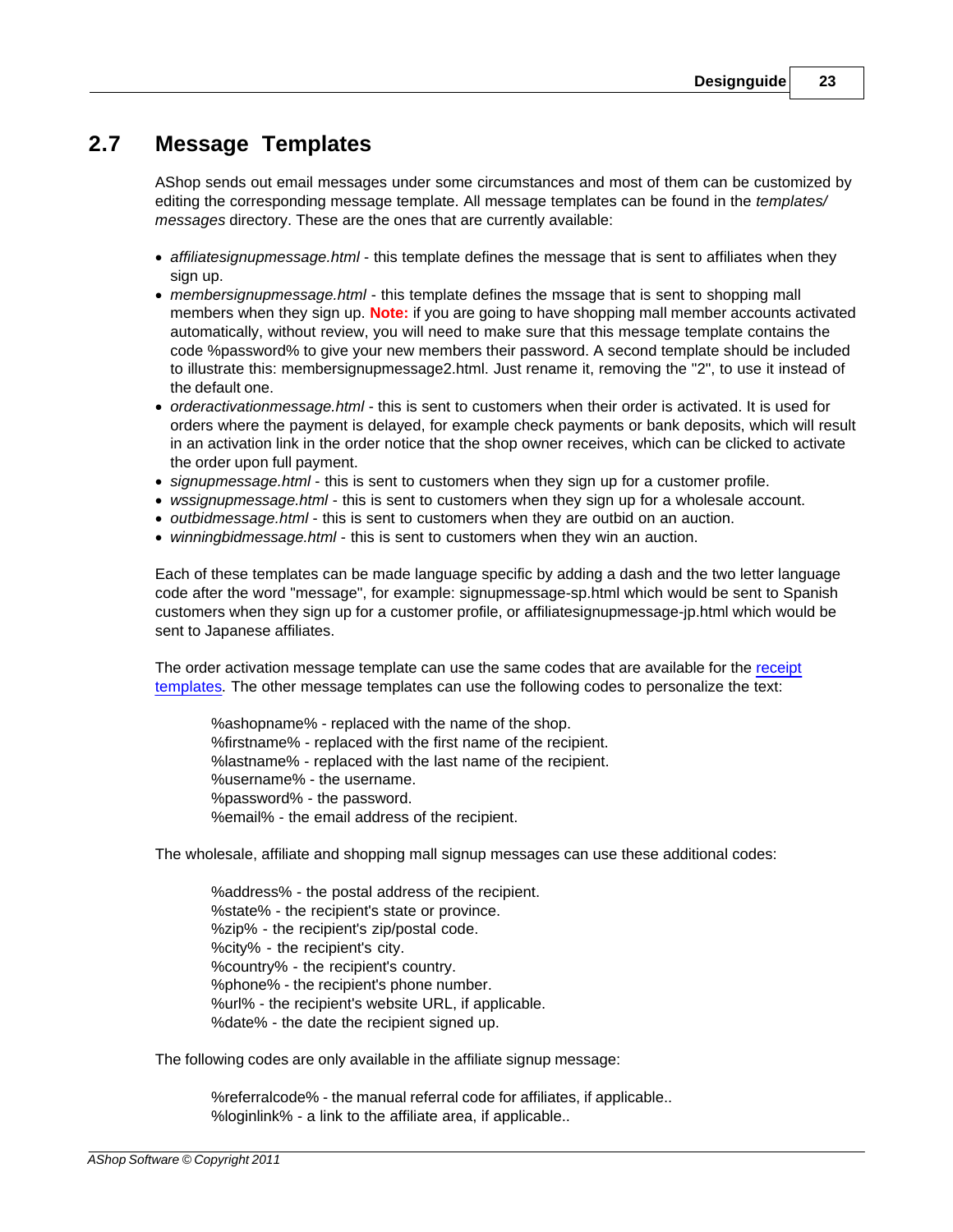### <span id="page-22-0"></span>**2.7 Message Templates**

AShop sends out email messages under some circumstances and most of them can be customized by editing the corresponding message template. All message templates can be found in the *templates/ messages* directory. These are the ones that are currently available:

- · *affiliatesignupmessage.html* this template defines the message that is sent to affiliates when they sign up.
- · *membersignupmessage.html* this template defines the mssage that is sent to shopping mall members when they sign up. **Note:** if you are going to have shopping mall member accounts activated automatically, without review, you will need to make sure that this message template contains the code %password% to give your new members their password. A second template should be included to illustrate this: membersignupmessage2.html. Just rename it, removing the "2", to use it instead of the default one.
- · *orderactivationmessage.html*  this is sent to customers when their order is activated. It is used for orders where the payment is delayed, for example check payments or bank deposits, which will result in an activation link in the order notice that the shop owner receives, which can be clicked to activate the order upon full payment.
- · *signupmessage.html* this is sent to customers when they sign up for a customer profile.
- · *wssignupmessage.html* this is sent to customers when they sign up for a wholesale account.
- · *outbidmessage.html* this is sent to customers when they are outbid on an auction.
- · *winningbidmessage.html* this is sent to customers when they win an auction.

Each of these templates can be made language specific by adding a dash and the two letter language code after the word "message", for example: signupmessage-sp.html which would be sent to Spanish customers when they sign up for a customer profile, or affiliatesignupmessage-jp.html which would be sent to Japanese affiliates.

The order activation message template can use the same codes that are available for the [receipt](#page-19-0) [templates.](#page-19-0) The other message templates can use the following codes to personalize the text:

%ashopname% - replaced with the name of the shop. %firstname% - replaced with the first name of the recipient. %lastname% - replaced with the last name of the recipient. %username% - the username. %password% - the password. %email% - the email address of the recipient.

The wholesale, affiliate and shopping mall signup messages can use these additional codes:

%address% - the postal address of the recipient. %state% - the recipient's state or province. %zip% - the recipient's zip/postal code. %city% - the recipient's city. %country% - the recipient's country. %phone% - the recipient's phone number. %url% - the recipient's website URL, if applicable. %date% - the date the recipient signed up.

The following codes are only available in the affiliate signup message:

%referralcode% - the manual referral code for affiliates, if applicable.. %loginlink% - a link to the affiliate area, if applicable..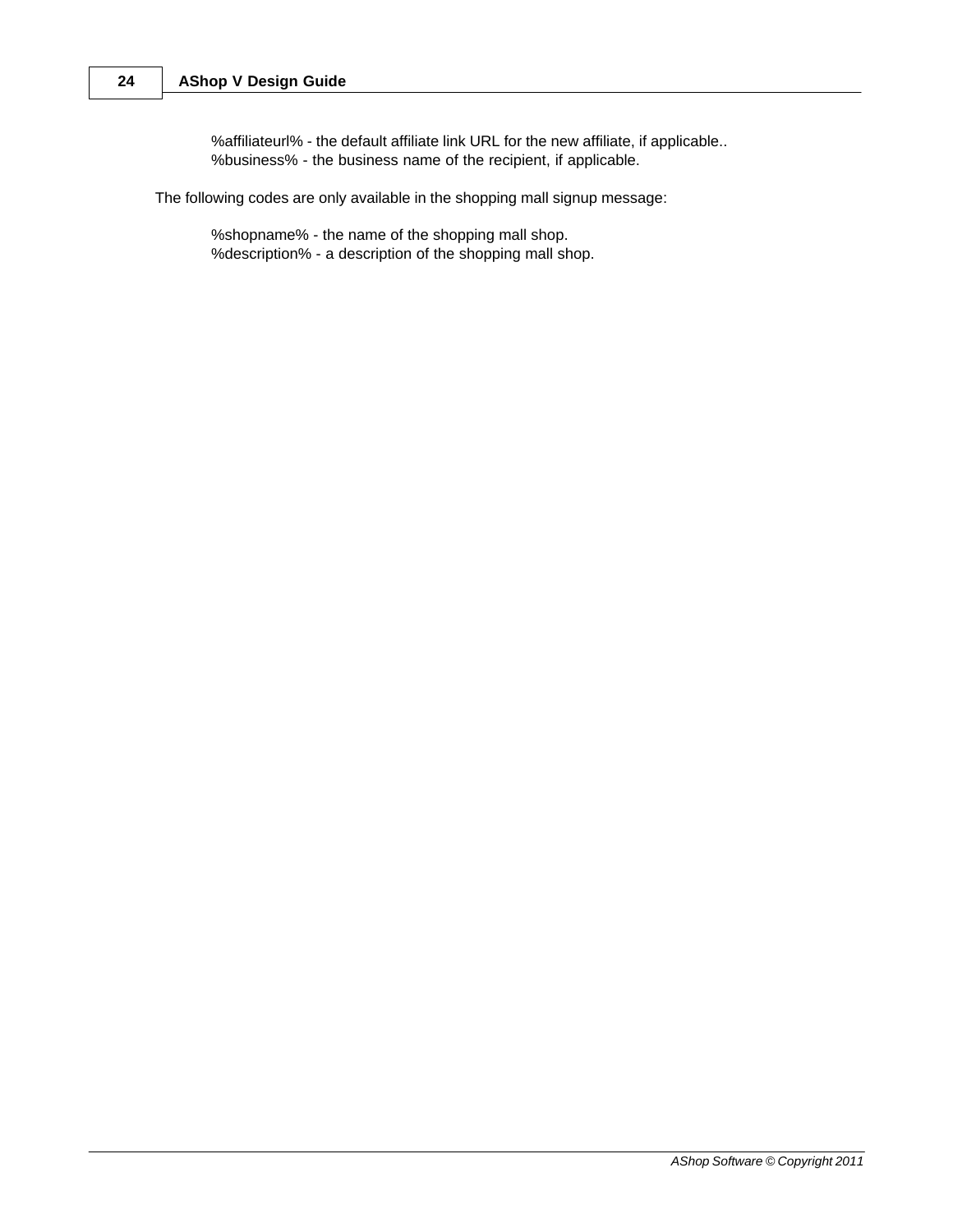%affiliateurl% - the default affiliate link URL for the new affiliate, if applicable.. %business% - the business name of the recipient, if applicable.

The following codes are only available in the shopping mall signup message:

%shopname% - the name of the shopping mall shop. %description% - a description of the shopping mall shop.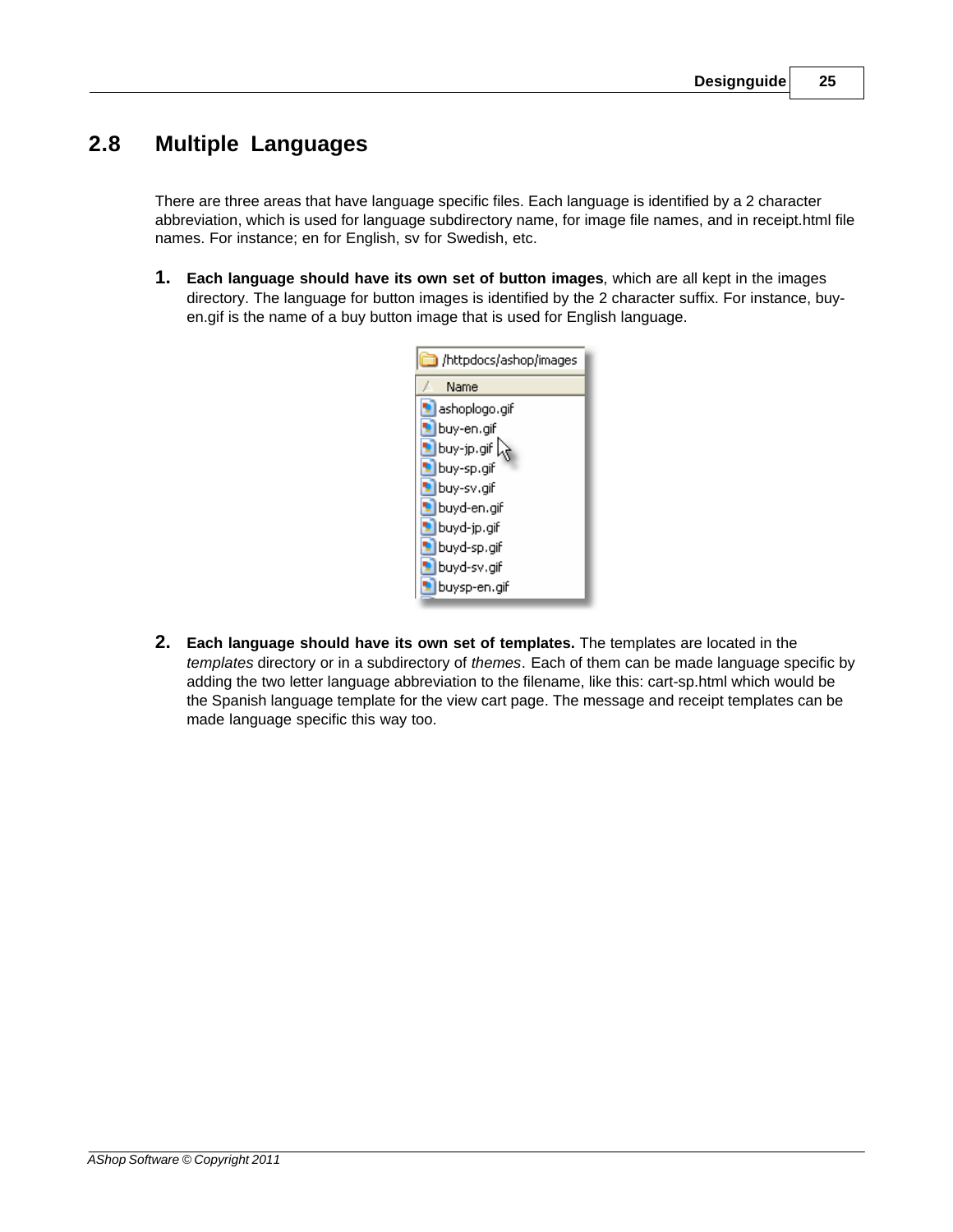### <span id="page-24-0"></span>**2.8 Multiple Languages**

There are three areas that have language specific files. Each language is identified by a 2 character abbreviation, which is used for language subdirectory name, for image file names, and in receipt.html file names. For instance; en for English, sv for Swedish, etc.

**1. Each language should have its own set of button images**, which are all kept in the images directory. The language for button images is identified by the 2 character suffix. For instance, buyen.gif is the name of a buy button image that is used for English language.



**2. Each language should have its own set of templates.** The templates are located in the *templates* directory or in a subdirectory of *themes*. Each of them can be made language specific by adding the two letter language abbreviation to the filename, like this: cart-sp.html which would be the Spanish language template for the view cart page. The message and receipt templates can be made language specific this way too.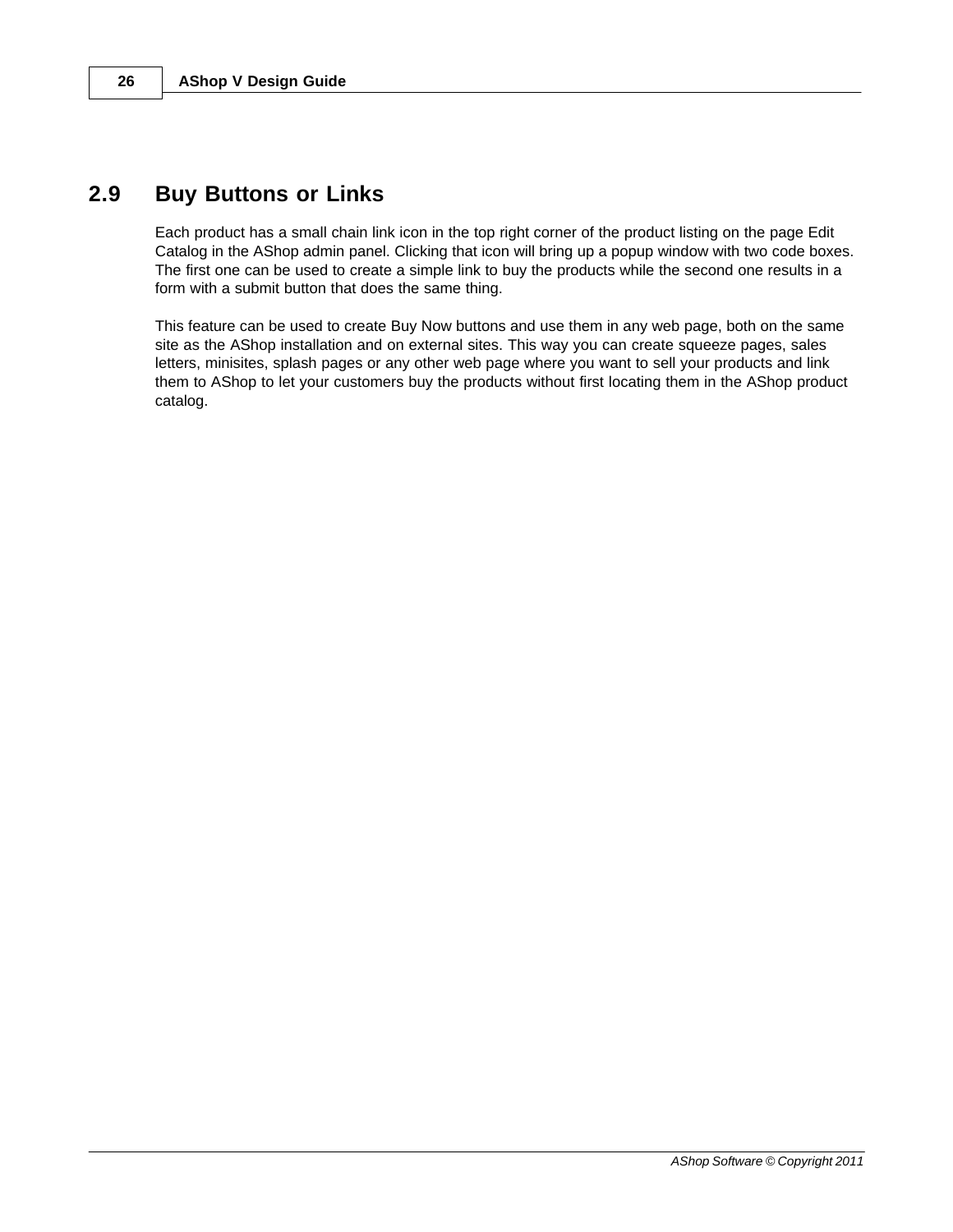### <span id="page-25-0"></span>**2.9 Buy Buttons or Links**

Each product has a small chain link icon in the top right corner of the product listing on the page Edit Catalog in the AShop admin panel. Clicking that icon will bring up a popup window with two code boxes. The first one can be used to create a simple link to buy the products while the second one results in a form with a submit button that does the same thing.

This feature can be used to create Buy Now buttons and use them in any web page, both on the same site as the AShop installation and on external sites. This way you can create squeeze pages, sales letters, minisites, splash pages or any other web page where you want to sell your products and link them to AShop to let your customers buy the products without first locating them in the AShop product catalog.